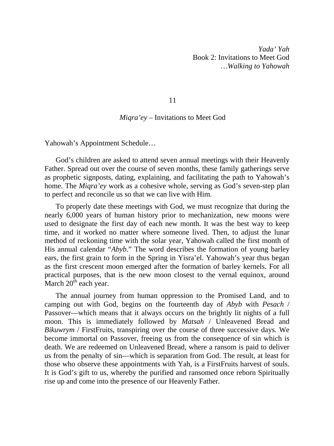*Yada' Yah*  Book 2: Invitations to Meet God *…Walking to Yahowah* 

11

## *Miqra'ey* – Invitations to Meet God

Yahowah's Appointment Schedule…

God's children are asked to attend seven annual meetings with their Heavenly Father. Spread out over the course of seven months, these family gatherings serve as prophetic signposts, dating, explaining, and facilitating the path to Yahowah's home. The *Miqra'ey* work as a cohesive whole, serving as God's seven-step plan to perfect and reconcile us so that we can live with Him.

To properly date these meetings with God, we must recognize that during the nearly 6,000 years of human history prior to mechanization, new moons were used to designate the first day of each new month. It was the best way to keep time, and it worked no matter where someone lived. Then, to adjust the lunar method of reckoning time with the solar year, Yahowah called the first month of His annual calendar "*Abyb*." The word describes the formation of young barley ears, the first grain to form in the Spring in Yisra'el. Yahowah's year thus began as the first crescent moon emerged after the formation of barley kernels. For all practical purposes, that is the new moon closest to the vernal equinox, around March  $20<sup>th</sup>$  each year.

The annual journey from human oppression to the Promised Land, and to camping out with God, begins on the fourteenth day of *Abyb* with *Pesach* / Passover—which means that it always occurs on the brightly lit nights of a full moon. This is immediately followed by *Matsah* / Unleavened Bread and *Bikuwrym* / FirstFruits, transpiring over the course of three successive days. We become immortal on Passover, freeing us from the consequence of sin which is death. We are redeemed on Unleavened Bread, where a ransom is paid to deliver us from the penalty of sin—which is separation from God. The result, at least for those who observe these appointments with Yah, is a FirstFruits harvest of souls. It is God's gift to us, whereby the purified and ransomed once reborn Spiritually rise up and come into the presence of our Heavenly Father.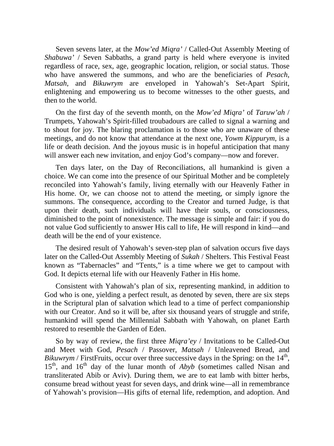Seven sevens later, at the *Mow'ed Miqra'* / Called-Out Assembly Meeting of *Shabuwa'* / Seven Sabbaths, a grand party is held where everyone is invited regardless of race, sex, age, geographic location, religion, or social status. Those who have answered the summons, and who are the beneficiaries of *Pesach*, *Matsah*, and *Bikuwrym* are enveloped in Yahowah's Set-Apart Spirit, enlightening and empowering us to become witnesses to the other guests, and then to the world.

On the first day of the seventh month, on the *Mow'ed Miqra'* of *Taruw'ah* / Trumpets, Yahowah's Spirit-filled troubadours are called to signal a warning and to shout for joy. The blaring proclamation is to those who are unaware of these meetings, and do not know that attendance at the next one, *Yowm Kippurym*, is a life or death decision. And the joyous music is in hopeful anticipation that many will answer each new invitation, and enjoy God's company—now and forever.

Ten days later, on the Day of Reconciliations, all humankind is given a choice. We can come into the presence of our Spiritual Mother and be completely reconciled into Yahowah's family, living eternally with our Heavenly Father in His home. Or, we can choose not to attend the meeting, or simply ignore the summons. The consequence, according to the Creator and turned Judge, is that upon their death, such individuals will have their souls, or consciousness, diminished to the point of nonexistence. The message is simple and fair: if you do not value God sufficiently to answer His call to life, He will respond in kind—and death will be the end of your existence.

The desired result of Yahowah's seven-step plan of salvation occurs five days later on the Called-Out Assembly Meeting of *Sukah* / Shelters. This Festival Feast known as "Tabernacles" and "Tents," is a time where we get to campout with God. It depicts eternal life with our Heavenly Father in His home.

Consistent with Yahowah's plan of six, representing mankind, in addition to God who is one, yielding a perfect result, as denoted by seven, there are six steps in the Scriptural plan of salvation which lead to a time of perfect companionship with our Creator. And so it will be, after six thousand years of struggle and strife, humankind will spend the Millennial Sabbath with Yahowah, on planet Earth restored to resemble the Garden of Eden.

So by way of review, the first three *Miqra'ey* / Invitations to be Called-Out and Meet with God, *Pesach* / Passover, *Matsah* / Unleavened Bread, and *Bikuwrym /* FirstFruits, occur over three successive days in the Spring: on the  $14<sup>th</sup>$ , 15<sup>th</sup>, and 16<sup>th</sup> day of the lunar month of *Abyb* (sometimes called Nisan and transliterated Abib or Aviv). During them, we are to eat lamb with bitter herbs, consume bread without yeast for seven days, and drink wine—all in remembrance of Yahowah's provision—His gifts of eternal life, redemption, and adoption. And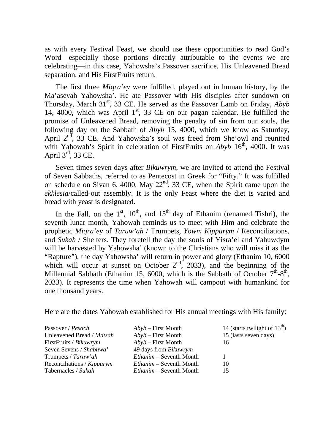as with every Festival Feast, we should use these opportunities to read God's Word—especially those portions directly attributable to the events we are celebrating—in this case, Yahowsha's Passover sacrifice, His Unleavened Bread separation, and His FirstFruits return.

The first three *Miqra'ey* were fulfilled, played out in human history, by the Ma'aseyah Yahowsha'. He ate Passover with His disciples after sundown on Thursday, March 31<sup>st</sup>, 33 CE. He served as the Passover Lamb on Friday, *Abyb* 14, 4000, which was April  $1<sup>st</sup>$ , 33 CE on our pagan calendar. He fulfilled the promise of Unleavened Bread, removing the penalty of sin from our souls, the following day on the Sabbath of *Abyb* 15, 4000, which we know as Saturday, April  $2<sup>nd</sup>$ , 33 CE. And Yahowsha's soul was freed from She'owl and reunited with Yahowah's Spirit in celebration of FirstFruits on *Abyb* 16<sup>th</sup>, 4000. It was April 3rd, 33 CE.

Seven times seven days after *Bikuwrym*, we are invited to attend the Festival of Seven Sabbaths, referred to as Pentecost in Greek for "Fifty." It was fulfilled on schedule on Sivan 6, 4000, May  $22<sup>nd</sup>$ , 33 CE, when the Spirit came upon the *ekklesia*/called-out assembly. It is the only Feast where the diet is varied and bread with yeast is designated.

In the Fall, on the  $1<sup>st</sup>$ ,  $10<sup>th</sup>$ , and  $15<sup>th</sup>$  day of Ethanim (renamed Tishri), the seventh lunar month, Yahowah reminds us to meet with Him and celebrate the prophetic *Miqra'ey* of *Taruw'ah* / Trumpets, *Yowm Kippurym* / Reconciliations, and *Sukah* / Shelters. They foretell the day the souls of Yisra'el and Yahuwdym will be harvested by Yahowsha' (known to the Christians who will miss it as the "Rapture"), the day Yahowsha' will return in power and glory (Ethanim 10, 6000 which will occur at sunset on October  $2<sup>nd</sup>$ , 2033), and the beginning of the Millennial Sabbath (Ethanim 15, 6000, which is the Sabbath of October  $7<sup>th</sup>$ -8<sup>th</sup>, 2033). It represents the time when Yahowah will campout with humankind for one thousand years.

Here are the dates Yahowah established for His annual meetings with His family:

| Passover / Pesach          | $Abyb - First Month$           | 14 (starts twilight of $13^{th}$ ) |
|----------------------------|--------------------------------|------------------------------------|
| Unleavened Bread / Matsah  | $Abyb - First Month$           | 15 (lasts seven days)              |
| FirstFruits / Bikuwrym     | $Abyb - First Month$           | 16                                 |
| Seven Sevens / Shabuwa'    | 49 days from <i>Bikuwrym</i>   |                                    |
| Trumpets / Taruw'ah        | <i>Ethanim</i> – Seventh Month |                                    |
| Reconciliations / Kippurym | <i>Ethanim</i> – Seventh Month | 10                                 |
| Tabernacles / Sukah        | <i>Ethanim</i> – Seventh Month | 15                                 |
|                            |                                |                                    |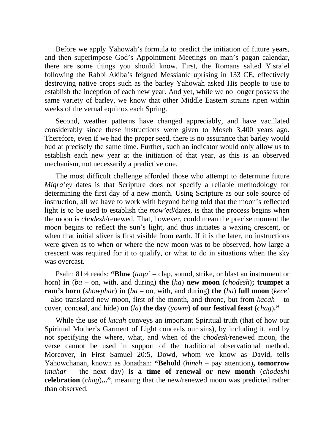Before we apply Yahowah's formula to predict the initiation of future years, and then superimpose God's Appointment Meetings on man's pagan calendar, there are some things you should know. First, the Romans salted Yisra'el following the Rabbi Akiba's feigned Messianic uprising in 133 CE, effectively destroying native crops such as the barley Yahowah asked His people to use to establish the inception of each new year. And yet, while we no longer possess the same variety of barley, we know that other Middle Eastern strains ripen within weeks of the vernal equinox each Spring.

Second, weather patterns have changed appreciably, and have vacillated considerably since these instructions were given to Moseh 3,400 years ago. Therefore, even if we had the proper seed, there is no assurance that barley would bud at precisely the same time. Further, such an indicator would only allow us to establish each new year at the initiation of that year, as this is an observed mechanism, not necessarily a predictive one.

The most difficult challenge afforded those who attempt to determine future *Miqra'ey* dates is that Scripture does not specify a reliable methodology for determining the first day of a new month. Using Scripture as our sole source of instruction, all we have to work with beyond being told that the moon's reflected light is to be used to establish the *mow'ed*/dates, is that the process begins when the moon is *chodesh*/renewed. That, however, could mean the precise moment the moon begins to reflect the sun's light, and thus initiates a waxing crescent, or when that initial sliver is first visible from earth. If it is the later, no instructions were given as to when or where the new moon was to be observed, how large a crescent was required for it to qualify, or what to do in situations when the sky was overcast.

Psalm 81:4 reads: **"Blow** (*taqa'* – clap, sound, strike, or blast an instrument or horn) **in** (*ba* – on, with, and during) **the** (*ha*) **new moon** (*chodesh*)**; trumpet a ram's horn** (*showphar*) **in** (*ba* – on, with, and during) **the** (*ha*) **full moon** (*kece'* – also translated new moon, first of the month, and throne, but from *kacah* – to cover, conceal, and hide) **on** (*la*) **the day** (*yowm*) **of our festival feast** (*chag*)**."** 

While the use of *kacah* conveys an important Spiritual truth (that of how our Spiritual Mother's Garment of Light conceals our sins), by including it, and by not specifying the where, what, and when of the *chodesh*/renewed moon, the verse cannot be used in support of the traditional observational method. Moreover, in First Samuel 20:5, Dowd, whom we know as David, tells Yahowchanan, known as Jonathan: **"Behold** (*hineh* – pay attention)**, tomorrow** (*mahar* – the next day) **is a time of renewal or new month** (*chodesh*) **celebration** (*chag*)**..."**, meaning that the new/renewed moon was predicted rather than observed.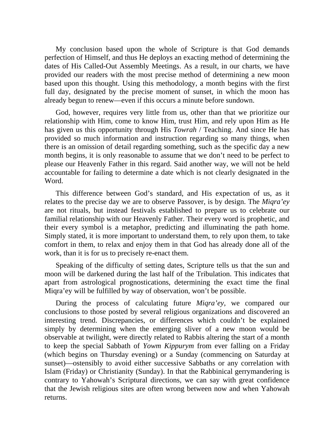My conclusion based upon the whole of Scripture is that God demands perfection of Himself, and thus He deploys an exacting method of determining the dates of His Called-Out Assembly Meetings. As a result, in our charts, we have provided our readers with the most precise method of determining a new moon based upon this thought. Using this methodology, a month begins with the first full day, designated by the precise moment of sunset, in which the moon has already begun to renew—even if this occurs a minute before sundown.

God, however, requires very little from us, other than that we prioritize our relationship with Him, come to know Him, trust Him, and rely upon Him as He has given us this opportunity through His *Towrah* / Teaching. And since He has provided so much information and instruction regarding so many things, when there is an omission of detail regarding something, such as the specific day a new month begins, it is only reasonable to assume that we don't need to be perfect to please our Heavenly Father in this regard. Said another way, we will not be held accountable for failing to determine a date which is not clearly designated in the Word.

This difference between God's standard, and His expectation of us, as it relates to the precise day we are to observe Passover, is by design. The *Miqra'ey* are not rituals, but instead festivals established to prepare us to celebrate our familial relationship with our Heavenly Father. Their every word is prophetic, and their every symbol is a metaphor, predicting and illuminating the path home. Simply stated, it is more important to understand them, to rely upon them, to take comfort in them, to relax and enjoy them in that God has already done all of the work, than it is for us to precisely re-enact them.

Speaking of the difficulty of setting dates, Scripture tells us that the sun and moon will be darkened during the last half of the Tribulation. This indicates that apart from astrological prognostications, determining the exact time the final Miqra'ey will be fulfilled by way of observation, won't be possible.

During the process of calculating future *Miqra'ey*, we compared our conclusions to those posted by several religious organizations and discovered an interesting trend. Discrepancies, or differences which couldn't be explained simply by determining when the emerging sliver of a new moon would be observable at twilight, were directly related to Rabbis altering the start of a month to keep the special Sabbath of *Yowm Kippurym* from ever falling on a Friday (which begins on Thursday evening) or a Sunday (commencing on Saturday at sunset)—ostensibly to avoid either successive Sabbaths or any correlation with Islam (Friday) or Christianity (Sunday). In that the Rabbinical gerrymandering is contrary to Yahowah's Scriptural directions, we can say with great confidence that the Jewish religious sites are often wrong between now and when Yahowah returns.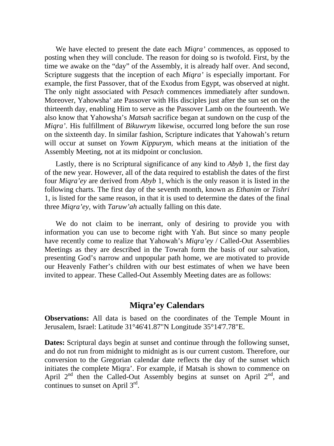We have elected to present the date each *Miqra'* commences, as opposed to posting when they will conclude. The reason for doing so is twofold. First, by the time we awake on the "day" of the Assembly, it is already half over. And second, Scripture suggests that the inception of each *Miqra'* is especially important. For example, the first Passover, that of the Exodus from Egypt, was observed at night. The only night associated with *Pesach* commences immediately after sundown. Moreover, Yahowsha' ate Passover with His disciples just after the sun set on the thirteenth day, enabling Him to serve as the Passover Lamb on the fourteenth. We also know that Yahowsha's *Matsah* sacrifice began at sundown on the cusp of the *Miqra'*. His fulfillment of *Bikuwrym* likewise, occurred long before the sun rose on the sixteenth day. In similar fashion, Scripture indicates that Yahowah's return will occur at sunset on *Yowm Kippurym*, which means at the initiation of the Assembly Meeting, not at its midpoint or conclusion.

Lastly, there is no Scriptural significance of any kind to *Abyb* 1, the first day of the new year. However, all of the data required to establish the dates of the first four *Miqra'ey* are derived from *Abyb* 1, which is the only reason it is listed in the following charts. The first day of the seventh month, known as *Ethanim* or *Tishri* 1, is listed for the same reason, in that it is used to determine the dates of the final three *Miqra'ey*, with *Taruw'ah* actually falling on this date.

We do not claim to be inerrant, only of desiring to provide you with information you can use to become right with Yah. But since so many people have recently come to realize that Yahowah's *Miqra'ey* / Called-Out Assemblies Meetings as they are described in the Towrah form the basis of our salvation, presenting God's narrow and unpopular path home, we are motivated to provide our Heavenly Father's children with our best estimates of when we have been invited to appear. These Called-Out Assembly Meeting dates are as follows:

## **Miqra'ey Calendars**

**Observations:** All data is based on the coordinates of the Temple Mount in Jerusalem, Israel: Latitude 31°46'41.87"N Longitude 35°14'7.78"E.

**Dates:** Scriptural days begin at sunset and continue through the following sunset, and do not run from midnight to midnight as is our current custom. Therefore, our conversion to the Gregorian calendar date reflects the day of the sunset which initiates the complete Miqra'. For example, if Matsah is shown to commence on April  $2<sup>nd</sup>$  then the Called-Out Assembly begins at sunset on April  $2<sup>nd</sup>$ , and continues to sunset on April 3rd.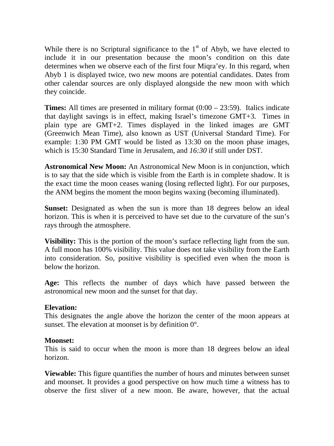While there is no Scriptural significance to the  $1<sup>st</sup>$  of Abyb, we have elected to include it in our presentation because the moon's condition on this date determines when we observe each of the first four Miqra'ey. In this regard, when Abyb 1 is displayed twice, two new moons are potential candidates. Dates from other calendar sources are only displayed alongside the new moon with which they coincide.

**Times:** All times are presented in military format (0:00 – 23:59). Italics indicate that daylight savings is in effect, making Israel's timezone GMT+3. Times in plain type are GMT+2. Times displayed in the linked images are GMT (Greenwich Mean Time), also known as UST (Universal Standard Time). For example: 1:30 PM GMT would be listed as 13:30 on the moon phase images, which is 15:30 Standard Time in Jerusalem, and *16:30* if still under DST.

**Astronomical New Moon:** An Astronomical New Moon is in conjunction, which is to say that the side which is visible from the Earth is in complete shadow. It is the exact time the moon ceases waning (losing reflected light). For our purposes, the ANM begins the moment the moon begins waxing (becoming illuminated).

**Sunset:** Designated as when the sun is more than 18 degrees below an ideal horizon. This is when it is perceived to have set due to the curvature of the sun's rays through the atmosphere.

**Visibility:** This is the portion of the moon's surface reflecting light from the sun. A full moon has 100% visibility. This value does not take visibility from the Earth into consideration. So, positive visibility is specified even when the moon is below the horizon.

**Age:** This reflects the number of days which have passed between the astronomical new moon and the sunset for that day.

## **Elevation:**

This designates the angle above the horizon the center of the moon appears at sunset. The elevation at moonset is by definition 0°.

## **Moonset:**

This is said to occur when the moon is more than 18 degrees below an ideal horizon.

**Viewable:** This figure quantifies the number of hours and minutes between sunset and moonset. It provides a good perspective on how much time a witness has to observe the first sliver of a new moon. Be aware, however, that the actual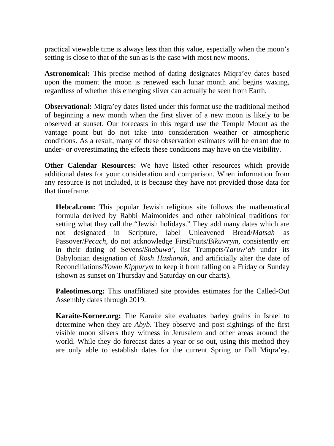practical viewable time is always less than this value, especially when the moon's setting is close to that of the sun as is the case with most new moons.

**Astronomical:** This precise method of dating designates Miqra'ey dates based upon the moment the moon is renewed each lunar month and begins waxing, regardless of whether this emerging sliver can actually be seen from Earth.

**Observational:** Miqra'ey dates listed under this format use the traditional method of beginning a new month when the first sliver of a new moon is likely to be observed at sunset. Our forecasts in this regard use the Temple Mount as the vantage point but do not take into consideration weather or atmospheric conditions. As a result, many of these observation estimates will be errant due to under- or overestimating the effects these conditions may have on the visibility.

**Other Calendar Resources:** We have listed other resources which provide additional dates for your consideration and comparison. When information from any resource is not included, it is because they have not provided those data for that timeframe.

**Hebcal.com:** This popular Jewish religious site follows the mathematical formula derived by Rabbi Maimonides and other rabbinical traditions for setting what they call the "Jewish holidays." They add many dates which are not designated in Scripture, label Unleavened Bread/*Matsah* as Passover/*Pecach*, do not acknowledge FirstFruits/*Bikuwrym*, consistently err in their dating of Sevens/*Shabuwa'*, list Trumpets/*Taruw'ah* under its Babylonian designation of *Rosh Hashanah*, and artificially alter the date of Reconciliations/*Yowm Kippurym* to keep it from falling on a Friday or Sunday (shown as sunset on Thursday and Saturday on our charts).

**Paleotimes.org:** This unaffiliated site provides estimates for the Called-Out Assembly dates through 2019.

**Karaite-Korner.org:** The Karaite site evaluates barley grains in Israel to determine when they are *Abyb*. They observe and post sightings of the first visible moon slivers they witness in Jerusalem and other areas around the world. While they do forecast dates a year or so out, using this method they are only able to establish dates for the current Spring or Fall Miqra'ey.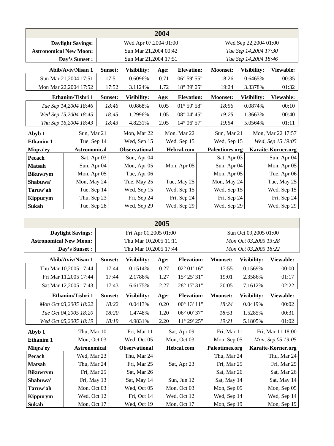|                               | 2004                                       |         |                            |      |                      |                 |                       |                    |  |  |
|-------------------------------|--------------------------------------------|---------|----------------------------|------|----------------------|-----------------|-----------------------|--------------------|--|--|
|                               | <b>Daylight Savings:</b>                   |         | Wed Apr 07,2004 01:00      |      |                      |                 | Wed Sep 22,2004 01:00 |                    |  |  |
| <b>Astronomical New Moon:</b> |                                            |         | Sun Mar 21,2004 00:42      |      |                      |                 | Tue Sep 14,2004 17:30 |                    |  |  |
|                               | Day's Sunset:                              |         | Sun Mar 21,2004 17:51      |      |                      |                 | Tue Sep 14,2004 18:46 |                    |  |  |
|                               | Abib/Aviv/Nisan 1                          | Sunset: | Visibility:                | Age: | <b>Elevation:</b>    | <b>Moonset:</b> | Visibility:           | Viewable:          |  |  |
|                               | Sun Mar 21,2004 17:51<br>17:51<br>0.6096%  |         |                            | 0.71 | $06^{\circ} 59' 55"$ | 18:26           | 0.6465%               | 00:35              |  |  |
|                               | Mon Mar 22,2004 17:52<br>17:52<br>3.1124%  |         |                            | 1.72 | 18° 39' 05"          | 19:24           | 3.3378%               | 01:32              |  |  |
|                               | Ethanim/Tishri 1<br>Sunset:<br>Visibility: |         |                            | Age: | <b>Elevation:</b>    | Moonset:        | Visibility:           | Viewable:          |  |  |
|                               | Tue Sep 14,2004 18:46                      | 18:46   | 0.0868%                    | 0.05 | $01^{\circ}$ 59' 58" | 18:56           | 0.0874%               | 00:10              |  |  |
|                               | Wed Sep 15,2004 18:45                      | 18:45   | 1.2996%                    | 1.05 | $08^{\circ}$ 04' 45" | 19:25           | 1.3663%               | 00:40              |  |  |
|                               | Thu Sep 16,2004 18:43                      | 18:43   | 4.8231%                    | 2.05 | $14^{\circ}$ 06' 57" | 19:54           | 5.0564%               | 01:11              |  |  |
| Abyb 1                        | Sun, Mar 21                                |         | Mon, Mar 22<br>Mon, Mar 22 |      | Sun, Mar 21          |                 | Mon, Mar 22 17:57     |                    |  |  |
| Ethanim 1                     | Tue, Sep 14                                |         | Wed, Sep 15                |      | Wed, Sep 15          | Wed, Sep 15     |                       | Wed, Sep 15 19:05  |  |  |
| Miqra'ey                      | <b>Astronomical</b>                        |         | <b>Observational</b>       |      | Hebcal.com           | Paleotimes.org  |                       | Karaite-Korner.org |  |  |
| Pecach                        | Sat, Apr 03                                |         | Sun, Apr 04                |      |                      | Sat, Apr 03     |                       | Sun, Apr 04        |  |  |
| <b>Matsah</b>                 | Sun, Apr 04                                |         | Mon, Apr 05                |      | Mon, Apr 05          | Sun, Apr 04     |                       | Mon, Apr 05        |  |  |
| <b>Bikuwrym</b>               | Mon, Apr 05                                |         | Tue, Apr 06                |      |                      | Mon, Apr 05     |                       | Tue, Apr 06        |  |  |
| Shabuwa'                      | Mon, May 24                                |         | Tue, May 25                |      | Tue, May 25          | Mon, May 24     |                       | Tue, May 25        |  |  |
| Taruw'ah                      | Tue, Sep 14                                |         | Wed, Sep 15                |      | Wed, Sep 15          | Wed, Sep 15     |                       | Wed, Sep 15        |  |  |
| <b>Kippurym</b>               | Thu, Sep 23                                |         | Fri, Sep 24                |      | Fri, Sep 24          | Fri, Sep 24     |                       | Fri, Sep 24        |  |  |
| Sukah                         | Tue, Sep 28                                |         | Wed, Sep 29                |      | Wed, Sep 29          | Wed, Sep 29     |                       | Wed, Sep 29        |  |  |

| 2005                                                                                        |                          |         |                       |             |                       |                 |                       |                    |  |
|---------------------------------------------------------------------------------------------|--------------------------|---------|-----------------------|-------------|-----------------------|-----------------|-----------------------|--------------------|--|
|                                                                                             | <b>Daylight Savings:</b> |         | Fri Apr 01,2005 01:00 |             |                       |                 | Sun Oct 09,2005 01:00 |                    |  |
| <b>Astronomical New Moon:</b>                                                               |                          |         | Thu Mar 10,2005 11:11 |             |                       |                 | Mon Oct 03,2005 13:28 |                    |  |
|                                                                                             | Day's Sunset :           |         | Thu Mar 10,2005 17:44 |             |                       |                 | Mon Oct 03,2005 18:22 |                    |  |
| Abib/Aviv/Nisan 1<br>Visibility:<br>Sunset:<br><b>Elevation:</b><br><b>Moonset:</b><br>Age: |                          |         |                       |             |                       | Visibility:     | Viewable:             |                    |  |
|                                                                                             | Thu Mar 10,2005 17:44    | 17:44   | 0.1514%               | 0.27        | $02^{\circ} 01' 16''$ | 17:55           | 0.1569%               | 00:00              |  |
|                                                                                             | Fri Mar 11,2005 17:44    | 17:44   | 2.1788%               | 1.27        | 15° 25' 31"           | 19:01           | 2.3586%               | 01:17              |  |
|                                                                                             | Sat Mar 12,2005 17:43    | 17:43   | 6.6175%               | 2.27        | $28^{\circ}$ 17' 31"  | 20:05           | 7.1612%               | 02:22              |  |
| Ethanim/Tishri 1                                                                            |                          | Sunset: | Visibility:           | Age:        | <b>Elevation:</b>     | <b>Moonset:</b> | Visibility:           | Viewable:          |  |
|                                                                                             | Mon Oct 03,2005 18:22    | 18:22   | 0.0413%               | 0.20        | $00^{\circ}$ 13' 11"  | 18:24           | 0.0419%               | 00:02              |  |
|                                                                                             | Tue Oct 04,2005 18:20    | 18:20   | 1.4748%               | 1.20        | $06^{\circ}$ 00' 37"  | 18:51           | 1.5285%               | 00:31              |  |
|                                                                                             | Wed Oct 05,2005 18:19    | 18:19   | 4.9831%               | 2.20        | $11^{\circ}$ 29' 25"  | 19:21           | 5.1805%               | 01:02              |  |
| Abyb 1                                                                                      | Thu, Mar 10              |         | Fri, Mar 11           | Sat, Apr 09 |                       | Fri, Mar 11     |                       | Fri, Mar 11 18:00  |  |
| <b>Ethanim 1</b>                                                                            | Mon, Oct 03              |         | Wed, Oct 05           |             | Mon, Oct 03           | Mon, Sep 05     |                       | Mon, Sep 05 19:05  |  |
| Miqra'ey                                                                                    | <b>Astronomical</b>      |         | <b>Observational</b>  |             | Hebcal.com            | Paleotimes.org  |                       | Karaite-Korner.org |  |
| Pecach                                                                                      | Wed, Mar 23              |         | Thu, Mar 24           |             |                       | Thu, Mar 24     |                       | Thu, Mar 24        |  |
| <b>Matsah</b>                                                                               | Thu, Mar 24              |         | Fri, Mar 25           |             | Sat, Apr 23           | Fri, Mar 25     |                       | Fri, Mar 25        |  |
| <b>Bikuwrym</b>                                                                             | Fri, Mar 25              |         | Sat, Mar 26           |             |                       | Sat, Mar 26     |                       | Sat, Mar 26        |  |
| Shabuwa'                                                                                    | Fri, May 13              |         | Sat, May 14           |             | Sun, Jun 12           | Sat, May 14     |                       | Sat, May 14        |  |
| Taruw'ah                                                                                    | Mon, Oct 03              |         | Wed, Oct 05           |             | Mon, Oct 03           | Mon, Sep 05     |                       | Mon, Sep 05        |  |
| Kippurym                                                                                    | Wed, Oct 12              |         | Fri, Oct 14           |             | Wed, Oct 12           | Wed, Sep 14     |                       | Wed, Sep 14        |  |
| <b>Sukah</b>                                                                                | Mon, Oct 17              |         | Wed, Oct 19           |             | Mon, Oct 17           | Mon, Sep 19     |                       | Mon, Sep 19        |  |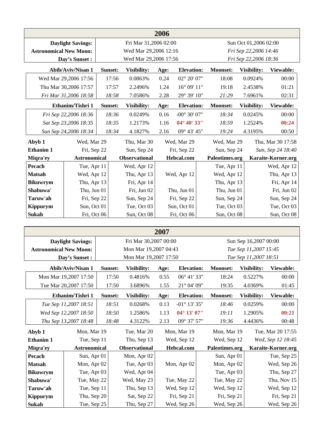|                               | 2006                     |         |                       |      |                        |                 |                       |                    |  |  |
|-------------------------------|--------------------------|---------|-----------------------|------|------------------------|-----------------|-----------------------|--------------------|--|--|
|                               | <b>Daylight Savings:</b> |         | Fri Mar 31,2006 02:00 |      |                        |                 | Sun Oct 01,2006 02:00 |                    |  |  |
| <b>Astronomical New Moon:</b> |                          |         | Wed Mar 29,2006 12:16 |      |                        |                 | Fri Sep 22,2006 14:46 |                    |  |  |
|                               | Day's Sunset:            |         | Wed Mar 29,2006 17:56 |      |                        |                 | Fri Sep 22,2006 18:36 |                    |  |  |
|                               | <b>Abib/Aviv/Nisan 1</b> | Sunset: | <b>Visibility:</b>    | Age: | <b>Elevation:</b>      | <b>Moonset:</b> | <b>Visibility:</b>    | Viewable:          |  |  |
|                               | Wed Mar 29,2006 17:56    | 17:56   | 0.0863%               | 0.24 | $02^{\circ} 20' 07"$   | 18:08           | 0.0924%               | 00:00              |  |  |
|                               | Thu Mar 30,2006 17:57    | 17:57   | 2.2496%               | 1.24 | $16^{\circ}$ 09' $11"$ | 19:18           | 2.4538%               | 01:21              |  |  |
|                               | Fri Mar 31,2006 18:58    | 18:58   | 7.0586%               | 2.28 | 29° 39' 10"            | 21:29           | 7.6961%               | 02:31              |  |  |
|                               | Ethanim/Tishri 1         | Sunset: | Visibility:           | Age: | <b>Elevation:</b>      | <b>Moonset:</b> | Visibility:           | Viewable:          |  |  |
|                               | Fri Sep 22,2006 18:36    | 18:36   | 0.0249%               | 0.16 | $-00^{\circ}$ 30' 07"  | 18:34           | 0.0245%               | 00:00              |  |  |
|                               | Sat Sep 23,2006 18:35    | 18:35   | 1.2173%               | 1.16 | $04^{\circ} 40' 33''$  | 18:59           | 1.2524%               | 00:24              |  |  |
|                               | Sun Sep 24,2006 18:34    | 18:34   | 4.1827%               | 2.16 | 09° 43' 45"            | 19:24           | 4.3195%               | 00:50              |  |  |
| Abyb 1                        | Wed, Mar 29              |         | Thu, Mar 30           |      | Wed, Mar 29            | Wed, Mar 29     |                       | Thu, Mar 30 17:58  |  |  |
| Ethanim 1                     | Fri, Sep 22              |         | Sun, Sep 24           |      | Fri, Sep 22            | Sun, Sep 24     |                       | Sun, Sep 24 18:40  |  |  |
| Miqra'ey                      | <b>Astronomical</b>      |         | <b>Observational</b>  |      | Hebcal.com             | Paleotimes.org  |                       | Karaite-Korner.org |  |  |
| Pecach                        | Tue, Apr 11              |         | Wed, Apr 12           |      |                        | Tue, Apr 11     |                       | Wed, Apr 12        |  |  |
| <b>Matsah</b>                 | Wed, Apr 12              |         | Thu, Apr 13           |      | Wed, Apr 12            | Wed, Apr 12     |                       | Thu, Apr 13        |  |  |
| <b>Bikuwrym</b>               | Thu, Apr 13              |         | Fri, Apr 14           |      |                        | Thu, Apr 13     |                       | Fri, Apr 14        |  |  |
| Shabuwa'                      | Thu, Jun 01              |         | Fri, Jun 02           |      | Thu, Jun 01            | Thu, Jun 01     |                       | Fri, Jun 02        |  |  |
| Taruw'ah                      | Fri, Sep 22              |         | Sun, Sep 24           |      | Fri, Sep 22            | Sun, Sep 24     |                       | Sun, Sep 24        |  |  |
| <b>Kippurym</b>               | Sun, Oct 01              |         | Tue, Oct 03           |      | Sun, Oct 01            | Tue, Oct 03     |                       | Tue, Oct 03        |  |  |
| <b>Sukah</b>                  | Fri, Oct 06              |         | Sun, Oct 08           |      | Fri, Oct 06            | Sun, Oct 08     |                       | Sun, Oct 08        |  |  |

|                               | 2007                     |         |                       |      |                        |                 |                       |                    |  |  |
|-------------------------------|--------------------------|---------|-----------------------|------|------------------------|-----------------|-----------------------|--------------------|--|--|
|                               | <b>Daylight Savings:</b> |         | Fri Mar 30,2007 00:00 |      |                        |                 | Sun Sep 16,2007 00:00 |                    |  |  |
| <b>Astronomical New Moon:</b> |                          |         | Mon Mar 19,2007 04:43 |      |                        |                 | Tue Sep 11,2007 15:45 |                    |  |  |
|                               | Day's Sunset:            |         | Mon Mar 19,2007 17:50 |      |                        |                 | Tue Sep 11,2007 18:51 |                    |  |  |
|                               | Abib/Aviv/Nisan 1        | Sunset: | Visibility:           | Age: | <b>Elevation:</b>      | <b>Moonset:</b> | Visibility:           | Viewable:          |  |  |
|                               | Mon Mar 19,2007 17:50    | 17:50   | 0.4816%               | 0.55 | $06^{\circ}$ 41' 33"   | 18:24           | 0.5227%               | 00:00              |  |  |
|                               | Tue Mar 20,2007 17:50    | 17:50   | 3.6896%               | 1.55 | $21^{\circ}$ 04' 09"   | 19:35           | 4.0369%               | 01:45              |  |  |
|                               | Ethanim/Tishri 1         | Sunset: | <b>Visibility:</b>    | Age: | <b>Elevation:</b>      | <b>Moonset:</b> | Visibility:           | Viewable:          |  |  |
|                               | Tue Sep 11,2007 18:51    | 18:51   | 0.0268%               | 0.13 | $-01^{\circ}$ 13' 35"  | 18:46           | 0.0259%               | 00:00              |  |  |
|                               | Wed Sep 12,2007 18:50    | 18:50   | 1.2586%               | 1.13 | $04^{\circ}$ 13' $07"$ | 19:11           | 1.2905%               | 00:21              |  |  |
|                               | Thu Sep 13,2007 18:48    | 18:48   | 4.3122%               | 2.13 | 09° 37' 57"            | 19:36           | 4.4436%               | 00:48              |  |  |
| Abyb 1                        | Mon, Mar 19              |         | Tue, Mar 20           |      | Mon, Mar 19            | Mon, Mar 19     |                       | Tue, Mar 20 17:55  |  |  |
| <b>Ethanim 1</b>              | Tue, Sep 11              |         | Thu, Sep 13           |      | Wed, Sep 12            | Wed, Sep 12     |                       | Wed, Sep 12 18:45  |  |  |
| Miqra'ey                      | <b>Astronomical</b>      |         | Observational         |      | Hebcal.com             | Paleotimes.org  |                       | Karaite-Korner.org |  |  |
| Pecach                        | Sun, Apr 01              |         | Mon, Apr 02           |      |                        | Sun, Apr 01     |                       | Tue, Sep 25        |  |  |
| <b>Matsah</b>                 | Mon, Apr 02              |         | Tue, Apr 03           |      | Mon, Apr 02            | Mon, Apr 02     |                       | Wed, Sep 26        |  |  |
| <b>Bikuwrym</b>               | Tue, Apr 03              |         | Wed, Apr 04           |      |                        | Tue, Apr 03     |                       | Thu, Sep 27        |  |  |
| Shabuwa'                      | Tue, May 22              |         | Wed, May 23           |      | Tue, May 22            | Tue, May 22     |                       | Thu, Nov 15        |  |  |
| Taruw'ah                      | Tue, Sep 11              |         | Thu, Sep 13           |      | Wed, Sep 12            | Wed, Sep 12     |                       | Wed, Sep 12        |  |  |
| Kippurym                      | Thu, Sep 20              |         | Sat, Sep 22           |      | Fri, Sep 21            | Fri, Sep 21     |                       | Fri, Sep 21        |  |  |
| Sukah                         | Tue, Sep 25              |         | Thu, Sep 27           |      | Wed, Sep 26            | Wed, Sep 26     |                       | Wed, Sep 26        |  |  |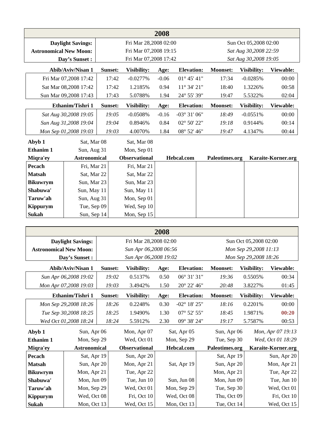|                               | 2008                     |         |                       |                       |                       |                 |                       |                    |  |  |
|-------------------------------|--------------------------|---------|-----------------------|-----------------------|-----------------------|-----------------|-----------------------|--------------------|--|--|
|                               | <b>Daylight Savings:</b> |         | Fri Mar 28,2008 02:00 |                       |                       |                 | Sun Oct 05,2008 02:00 |                    |  |  |
| <b>Astronomical New Moon:</b> |                          |         | Fri Mar 07,2008 19:15 |                       |                       |                 | Sat Aug 30,2008 22:59 |                    |  |  |
|                               | Day's Sunset:            |         |                       | Fri Mar 07,2008 17:42 |                       |                 | Sat Aug 30,2008 19:05 |                    |  |  |
|                               | Abib/Aviv/Nisan 1        | Sunset: | <b>Visibility:</b>    | Age:                  | <b>Elevation:</b>     | <b>Moonset:</b> | Visibility:           | Viewable:          |  |  |
|                               | Fri Mar 07,2008 17:42    | 17:42   | $-0.0277%$            | $-0.06$               | $01^{\circ} 45' 41''$ | 17:34           | $-0.0285%$            | 00:00              |  |  |
|                               | Sat Mar 08,2008 17:42    | 17:42   | 1.2185%               | 0.94                  | $11^{\circ} 34' 21''$ | 18:40           | 1.3226%               | 00:58              |  |  |
|                               | Sun Mar 09,2008 17:43    | 17:43   | 5.0788%               | 1.94                  | 24° 55' 39"           | 19:47           | 5.5322%               | 02:04              |  |  |
|                               | Ethanim/Tishri 1         | Sunset: | Visibility:           | Age:                  | <b>Elevation:</b>     | <b>Moonset:</b> | Visibility:           | Viewable:          |  |  |
|                               | Sat Aug 30,2008 19:05    | 19:05   | $-0.0508%$            | $-0.16$               | $-03^{\circ}31'06''$  | 18:49           | $-0.0551%$            | 00:00              |  |  |
|                               | Sun Aug 31,2008 19:04    | 19:04   | 0.8946%               | 0.84                  | $02^{\circ} 50' 22"$  | 19:18           | 0.9144%               | 00:14              |  |  |
|                               | Mon Sep 01,2008 19:03    | 19:03   | 4.0070%               | 1.84                  | 08° 52' 46"           | 19:47           | 4.1347%               | 00:44              |  |  |
| Abyb 1                        | Sat, Mar 08              |         | Sat, Mar 08           |                       |                       |                 |                       |                    |  |  |
| <b>Ethanim 1</b>              | Sun, Aug 31              |         | Mon, Sep 01           |                       |                       |                 |                       |                    |  |  |
| Miqra'ey                      | <b>Astronomical</b>      |         | <b>Observational</b>  |                       | Hebcal.com            | Paleotimes.org  |                       | Karaite-Korner.org |  |  |
| Pecach                        | Fri, Mar 21              |         | Fri, Mar 21           |                       |                       |                 |                       |                    |  |  |
| <b>Matsah</b>                 | Sat, Mar 22              |         | Sat, Mar 22           |                       |                       |                 |                       |                    |  |  |
| <b>Bikuwrym</b>               | Sun, Mar 23              |         | Sun, Mar 23           |                       |                       |                 |                       |                    |  |  |
| Shabuwa'                      | Sun, May 11              |         | Sun, May 11           |                       |                       |                 |                       |                    |  |  |
| Taruw'ah                      | Sun, Aug 31              |         | Mon, Sep 01           |                       |                       |                 |                       |                    |  |  |
| Kippurym                      | Tue, Sep 09              |         | Wed, Sep 10           |                       |                       |                 |                       |                    |  |  |
| Sukah                         | Sun, Sep 14              |         | Mon, Sep 15           |                       |                       |                 |                       |                    |  |  |

|                               | 2008                     |         |                       |      |                       |  |                 |                       |                    |  |  |
|-------------------------------|--------------------------|---------|-----------------------|------|-----------------------|--|-----------------|-----------------------|--------------------|--|--|
|                               | <b>Daylight Savings:</b> |         | Fri Mar 28,2008 02:00 |      |                       |  |                 | Sun Oct 05,2008 02:00 |                    |  |  |
| <b>Astronomical New Moon:</b> |                          |         | Sun Apr 06,2008 06:56 |      |                       |  |                 | Mon Sep 29,2008 11:13 |                    |  |  |
|                               | Day's Sunset:            |         | Sun Apr 06,2008 19:02 |      |                       |  |                 | Mon Sep 29,2008 18:26 |                    |  |  |
|                               | Abib/Aviv/Nisan 1        | Sunset: | Visibility:           | Age: | <b>Elevation:</b>     |  | <b>Moonset:</b> | Visibility:           | Viewable:          |  |  |
|                               | Sun Apr 06,2008 19:02    | 19:02   | 0.5137%               | 0.50 | 06° 31' 31"           |  | 19:36           | 0.5505%               | 00:34              |  |  |
|                               | Mon Apr 07,2008 19:03    | 19:03   | 3.4942%               | 1.50 | 20° 22' 46"           |  | 20:48           | 3.8227%               | 01:45              |  |  |
|                               | Ethanim/Tishri 1         | Sunset: | Visibility:           | Age: | <b>Elevation:</b>     |  | <b>Moonset:</b> | Visibility:           | Viewable:          |  |  |
|                               | Mon Sep 29,2008 18:26    | 18:26   | 0.2248%               | 0.30 | $-02^{\circ}$ 18' 25" |  | 18:16           | 0.2201%               | 00:00              |  |  |
|                               | Tue Sep 30,2008 18:25    | 18:25   | 1.9490%               | 1.30 | $07^{\circ}$ 52' 55"  |  | 18:45           | 1.9871%               | 00:20              |  |  |
|                               | Wed Oct 01,2008 18:24    | 18:24   | 5.5912%               | 2.30 | 09° 38' 24"           |  | 19:17           | 5.7587%               | 00:53              |  |  |
| Abyb 1                        | Sun, Apr 06              |         | Mon, Apr 07           |      | Sat, Apr 05           |  | Sun, Apr 06     |                       | Mon, Apr 07 19:13  |  |  |
| Ethanim 1                     | Mon, Sep 29              |         | Wed, Oct 01           |      | Mon, Sep 29           |  | Tue, Sep 30     |                       | Wed, Oct 01 18:29  |  |  |
| Miqra'ey                      | <b>Astronomical</b>      |         | <b>Observational</b>  |      | Hebcal.com            |  | Paleotimes.org  |                       | Karaite-Korner.org |  |  |
| Pecach                        | Sat, Apr 19              |         | Sun, Apr 20           |      |                       |  | Sat, Apr 19     |                       | Sun, Apr 20        |  |  |
| <b>Matsah</b>                 | Sun, Apr 20              |         | Mon, Apr 21           |      | Sat, Apr 19           |  | Sun, Apr 20     |                       | Mon, Apr 21        |  |  |
| <b>Bikuwrym</b>               | Mon, Apr 21              |         | Tue, Apr 22           |      |                       |  | Mon, Apr 21     |                       | Tue, Apr 22        |  |  |
| Shabuwa'                      | Mon, Jun 09              |         | Tue, Jun 10           |      | Sun, Jun 08           |  | Mon, Jun 09     |                       | Tue, Jun 10        |  |  |
| Taruw'ah                      | Mon, Sep 29              |         | Wed, Oct 01           |      | Mon, Sep 29           |  | Tue, Sep 30     |                       | Wed, Oct 01        |  |  |
| <b>Kippurym</b>               | Wed, Oct 08              |         | Fri, Oct 10           |      | Wed, Oct 08           |  | Thu, Oct 09     |                       | Fri, Oct 10        |  |  |
| Sukah                         | Mon, Oct 13              |         | Wed, Oct 15           |      | Mon, Oct 13           |  | Tue, Oct 14     |                       | Wed, Oct 15        |  |  |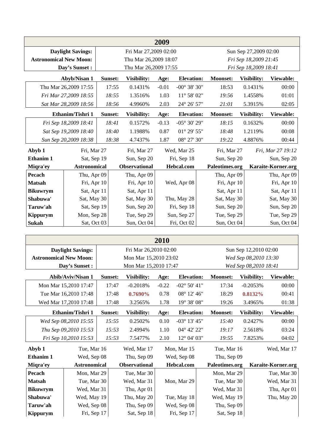| 2009                          |                          |         |                       |         |                        |                 |                       |                    |  |  |
|-------------------------------|--------------------------|---------|-----------------------|---------|------------------------|-----------------|-----------------------|--------------------|--|--|
|                               | <b>Daylight Savings:</b> |         | Fri Mar 27,2009 02:00 |         |                        |                 | Sun Sep 27,2009 02:00 |                    |  |  |
| <b>Astronomical New Moon:</b> |                          |         | Thu Mar 26,2009 18:07 |         |                        |                 | Fri Sep 18,2009 21:45 |                    |  |  |
|                               | Day's Sunset :           |         | Thu Mar 26,2009 17:55 |         |                        |                 | Fri Sep 18,2009 18:41 |                    |  |  |
|                               | Abyb/Nisan 1             | Sunset: | Visibility:           | Age:    | <b>Elevation:</b>      | <b>Moonset:</b> | Visibility:           | Viewable:          |  |  |
|                               | Thu Mar 26,2009 17:55    | 17:55   | 0.1431%               | $-0.01$ | $-00^{\circ}$ 38' 30"  | 18:53           | 0.1431%               | 00:00              |  |  |
|                               | Fri Mar 27,2009 18:55    | 18:55   | 1.3516%               | 1.03    | $11^{\circ} 58' 02"$   | 19:56           | 1.4558%               | 01:01              |  |  |
| Sat Mar 28,2009 18:56         |                          | 18:56   | 4.9960%               | 2.03    | 24° 26' 57"            | 21:01           | 5.3915%               | 02:05              |  |  |
|                               | Ethanim/Tishri 1         | Sunset: | Visibility:           | Age:    | <b>Elevation:</b>      | Moonset:        | Visibility:           | Viewable:          |  |  |
| Fri Sep 18,2009 18:41         |                          | 18:41   | 0.1572%               | $-0.13$ | $-05^{\circ} 30' 29''$ | 18:15           | 0.1632%               |                    |  |  |
|                               | Sat Sep 19,2009 18:40    | 18:40   | 1.1988%               | 0.87    | $01^{\circ}$ 29' 55"   | 18:48           | 1.2119%               | 00:08              |  |  |
|                               | Sun Sep 20,2009 18:38    | 18:38   | 4.7437%               | 1.87    | 08° 27' 30"            | 19:22           | 4.8876%               | 00:44              |  |  |
| Abyb 1                        | Fri, Mar 27              |         | Fri, Mar 27           |         | Wed, Mar 25            | Fri, Mar 27     |                       | Fri, Mar 27 19:12  |  |  |
| <b>Ethanim 1</b>              | Sat, Sep 19              |         | Sun, Sep 20           |         | Fri, Sep 18            | Sun, Sep 20     |                       | Sun, Sep 20        |  |  |
| Miqra'ey                      | <b>Astronomical</b>      |         | <b>Observational</b>  |         | Hebcal.com             | Paleotimes.org  |                       | Karaite-Korner.org |  |  |
| Pecach                        | Thu, Apr 09              |         | Thu, Apr 09           |         |                        | Thu, Apr 09     |                       | Thu, Apr 09        |  |  |
| <b>Matsah</b>                 | Fri, Apr 10              |         | Fri, Apr 10           |         | Wed, Apr 08            | Fri, Apr 10     |                       | Fri, Apr 10        |  |  |
| <b>Bikuwrym</b>               | Sat, Apr 11              |         | Sat, Apr 11           |         |                        | Sat, Apr 11     |                       | Sat, Apr 11        |  |  |
| Shabuwa'                      | Sat, May 30              |         | Sat, May 30           |         | Thu, May 28            | Sat, May 30     |                       | Sat, May 30        |  |  |
| Taruw'ah                      | Sat, Sep 19              |         | Sun, Sep 20           |         | Fri, Sep 18            | Sun, Sep 20     |                       | Sun, Sep 20        |  |  |
| <b>Kippurym</b>               | Mon, Sep 28              |         | Tue, Sep 29           |         | Sun, Sep 27            |                 | Tue, Sep 29           |                    |  |  |
| Sukah                         | Sat, Oct 03              |         | Sun, Oct 04           |         | Fri, Oct 02            | Sun, Oct 04     |                       | Sun, Oct 04        |  |  |

|                               | 2010                     |         |                       |         |                        |                 |                       |                    |  |  |
|-------------------------------|--------------------------|---------|-----------------------|---------|------------------------|-----------------|-----------------------|--------------------|--|--|
|                               | <b>Daylight Savings:</b> |         | Fri Mar 26,2010 02:00 |         |                        |                 | Sun Sep 12,2010 02:00 |                    |  |  |
| <b>Astronomical New Moon:</b> |                          |         | Mon Mar 15,2010 23:02 |         |                        |                 | Wed Sep 08,2010 13:30 |                    |  |  |
|                               | Day's Sunset:            |         | Mon Mar 15,2010 17:47 |         |                        |                 | Wed Sep 08,2010 18:41 |                    |  |  |
|                               | Abib/Aviv/Nisan 1        | Sunset: | Visibility:           | Age:    | <b>Elevation:</b>      | <b>Moonset:</b> | Visibility:           | Viewable:          |  |  |
|                               | Mon Mar 15,2010 17:47    | 17:47   | $-0.2018%$            | $-0.22$ | $-02^{\circ} 50' 41''$ | 17:34           | $-0.2053%$            | 00:00              |  |  |
|                               | Tue Mar 16,2010 17:48    | 17:48   | $0.7690\%$            | 0.78    | 08° 12' 46"            | 18:29           | 0.8132%               | 00:41              |  |  |
|                               | Wed Mar 17,2010 17:48    | 17:48   | 3.2565%               | 1.78    | 19° 38' 08"            | 19:26           | 3.4965%               | 01:38              |  |  |
| Ethanim/Tishri 1              |                          | Sunset: | Visibility:           | Age:    | <b>Elevation:</b>      | <b>Moonset:</b> | Visibility:           | Viewable:          |  |  |
|                               | Wed Sep 08,2010 15:55    | 15:55   | 0.2502%               | 0.10    | $-03^{\circ}$ 13' 45"  | 15:40           | 0.2427%               | 00:00              |  |  |
|                               | Thu Sep 09,2010 15:53    | 15:53   | 2.4994%               | 1.10    | 04° 42' 22"            | 19:17           | 2.5618%               | 03:24              |  |  |
|                               | Fri Sep 10,2010 15:53    | 15:53   | 7.5477%               | 2.10    | 12° 04' 03"            | 19:55           | 7.8253%               | 04:02              |  |  |
| Abyb 1                        | Tue, Mar 16              |         | Wed, Mar 17           |         | Mon, Mar 15            | Tue, Mar 16     |                       | Wed, Mar 17        |  |  |
| Ethanim 1                     | Wed, Sep 08              |         | Thu, Sep 09           |         | Wed, Sep 08            | Thu, Sep 09     |                       |                    |  |  |
| Miqra'ey                      | <b>Astronomical</b>      |         | <b>Observational</b>  |         | Hebcal.com             | Paleotimes.org  |                       | Karaite-Korner.org |  |  |
| Pecach                        | Mon, Mar 29              |         | Tue, Mar 30           |         |                        | Mon, Mar 29     |                       | Tue, Mar 30        |  |  |
| <b>Matsah</b>                 | Tue, Mar 30              |         | Wed, Mar 31           |         | Mon, Mar 29            | Tue, Mar 30     |                       | Wed, Mar 31        |  |  |
| <b>Bikuwrym</b>               | Wed, Mar 31              |         | Thu, Apr 01           |         |                        | Wed, Mar 31     |                       | Thu, Apr 01        |  |  |
| Shabuwa'                      | Wed, May 19              |         | Thu, May 20           |         | Tue, May 18            | Wed, May 19     |                       | Thu, May 20        |  |  |
| Taruw'ah                      | Wed, Sep 08              |         | Thu, Sep 09           |         | Wed, Sep 08            | Thu, Sep 09     |                       |                    |  |  |
| Kippurym                      | Fri, Sep 17              |         | Sat, Sep 18           |         | Fri, Sep 17            | Sat, Sep 18     |                       |                    |  |  |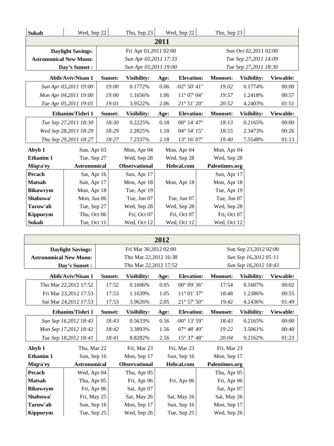| Sukah                         | Wed, Sep 22              |             | Thu, Sep 23                                    |             | Wed, Sep 22            | Thu, Sep 23           |                                                |           |  |
|-------------------------------|--------------------------|-------------|------------------------------------------------|-------------|------------------------|-----------------------|------------------------------------------------|-----------|--|
|                               |                          |             |                                                | 2011        |                        |                       |                                                |           |  |
|                               | <b>Daylight Savings:</b> |             | Fri Apr 01,2011 02:00                          |             |                        |                       | Sun Oct 02,2011 02:00                          |           |  |
| <b>Astronomical New Moon:</b> |                          |             | Sun Apr 03,2011 17:33                          |             |                        |                       | Tue Sep 27,2011 14:09                          |           |  |
|                               | Day's Sunset :           |             | Sun Apr 03,2011 19:00                          |             |                        |                       | Tue Sep 27,2011 18:30                          |           |  |
|                               | Abib/Aviv/Nisan 1        | Sunset:     | Visibility:                                    | Age:        | <b>Elevation:</b>      | <b>Moonset:</b>       | Visibility:                                    | Viewable: |  |
|                               | Sun Apr 03,2011 19:00    | 19:00       | 0.1772%                                        | 0.06        | $-02^{\circ} 50' 41''$ | 19:02                 | 0.1774%                                        | 00:00     |  |
|                               | Mon Apr 04,2011 19:00    | 19:00       | 1.1656%                                        | 1.06        | 11° 07' 04"            | 19:57                 | 1.2418%                                        | 00:57     |  |
|                               | Tue Apr 05,2011 19:01    | 19:01       | 3.9522%                                        | 2.06        | 21° 51' 20"            | 20:52                 | 4.2403%                                        | 01:51     |  |
|                               | Ethanim/Tishri 1         | Sunset:     | Visibility:                                    | Age:        | <b>Elevation:</b>      | Moonset:              | Visibility:                                    | Viewable: |  |
|                               | Tue Sep 27,2011 18:30    | 18:30       | 0.2225%                                        | 0.18        | 00° 14' 47"            | 18:13                 | 0.2165%                                        | 00:00     |  |
|                               | Wed Sep 28,2011 18:29    | 18:29       | 2.2825%                                        | 1.18        | 04° 54' 15"            | 18:55                 | 2.3473%                                        | 00:26     |  |
|                               | Thu Sep 29,2011 18:27    | 18:27       | 7.2337%                                        | 2.18        | 13° 16' 07"            | 19:40                 | 7.5548%                                        | 01:13     |  |
| Abyb 1                        | Sun, Apr 03              |             | Mon, Apr 04                                    |             | Mon, Apr 04            | Mon, Apr 04           |                                                |           |  |
| Ethanim 1                     | Tue, Sep 27              | Wed, Sep 28 |                                                | Wed, Sep 28 | Wed, Sep 28            |                       |                                                |           |  |
| Miqra'ey                      | <b>Astronomical</b>      |             | Observational                                  |             | Hebcal.com             | Paleotimes.org        |                                                |           |  |
| Pecach                        | Sat, Apr 16              |             | Sun, Apr 17                                    |             |                        | Sun, Apr 17           |                                                |           |  |
| <b>Matsah</b>                 | Sun, Apr 17              |             | Mon, Apr 18                                    | Mon, Apr 18 |                        | Mon, Apr 18           |                                                |           |  |
| <b>Bikuwrym</b>               | Mon, Apr 18              |             | Tue, Apr 19                                    |             |                        | Tue, Apr 19           |                                                |           |  |
| Shabuwa'                      | Mon, Jun 06              |             | Tue, Jun 07                                    |             | Tue, Jun 07            | Tue, Jun 07           |                                                |           |  |
| Taruw'ah                      | Tue, Sep 27              |             | Wed, Sep 28                                    |             | Wed, Sep 28            | Wed, Sep 28           |                                                |           |  |
| Kippurym                      | Thu, Oct 06              |             | Fri, Oct 07                                    |             | Fri, Oct 07            | Fri, Oct 07           |                                                |           |  |
| Sukah                         | Tue, Oct 11              |             | Wed, Oct 12                                    |             | Wed, Oct 12            | Wed, Oct 12           |                                                |           |  |
|                               |                          |             |                                                |             |                        |                       |                                                |           |  |
|                               |                          |             |                                                | 2012        |                        | Sun Sep 23,2012 02:00 |                                                |           |  |
|                               | <b>Daylight Savings:</b> |             | Fri Mar 30,2012 02:00                          |             |                        |                       |                                                |           |  |
| <b>Astronomical New Moon:</b> | Day's Sunset :           |             | Thu Mar 22,2012 16:38<br>Thu Mar 22,2012 17:52 |             |                        |                       | Sun Sep 16,2012 05:11<br>Sun Sep 16,2012 18:43 |           |  |
|                               |                          |             |                                                |             |                        |                       |                                                |           |  |
|                               | Abib/Aviv/Nisan 1        | Sunset:     | Visibility:                                    | Age:        | <b>Elevation:</b>      | <b>Moonset:</b>       | Visibility:                                    | Viewable: |  |
|                               | Thu Mar 22,2012 17:52    | 17:52       | 0.1606%                                        | 0.05        | $00^{\circ} 09' 36''$  | 17:54                 | 0.1607%                                        | 00:02     |  |
|                               | Fri Mar 23,2012 17:53    | 17:53       | 1.1639%                                        | 1.05        | $11^{\circ}$ 01' 37"   | 18:48                 | 1.2386%                                        | 00:55     |  |
|                               | Sat Mar 24,2012 17:53    | 17:53       | 3.9626%                                        | 2.05        | 21° 57' 50"            | 19:42                 | 4.2436%                                        | 01:49     |  |
|                               | Ethanim/Tishri 1         | Sunset:     | Visibility:                                    | Age:        | <b>Elevation:</b>      | Moonset:              | Visibility:                                    | Viewable: |  |
|                               | Sun Sep 16,2012 18:43    | 18:43       | 0.5633%                                        | 0.56        | $-00^{\circ}$ 13' 59"  | 18:43                 | 0.2165%                                        | 00:00     |  |
|                               | Mon Sep 17,2012 18:42    | 18:42       | 3.3893%                                        | 1.56        | 07° 48' 49"            | 19:22                 | 3.5061%                                        | 00:40     |  |
|                               | Tue Sep 18,2012 18:41    | 18:41       | 8.8282%                                        | 2.56        | $15^{\circ}$ 37' 48"   | 20:04                 | 9.2162%                                        | 01:23     |  |
| Abyb 1                        | Thu, Mar 22              |             | Fri, Mar 23                                    |             | Fri, Mar 23            | Fri, Mar 23           |                                                |           |  |
| Ethanim 1                     | Sun, Sep 16              |             | Mon, Sep 17                                    |             | Sun, Sep 16            | Mon, Sep 17           |                                                |           |  |
| Miqra'ey                      | <b>Astronomical</b>      |             | Observational                                  |             | Hebcal.com             | Paleotimes.org        |                                                |           |  |
| Pecach                        | Wed, Apr 04              |             | Thu, Apr 05                                    |             |                        | Thu, Apr 05           |                                                |           |  |

Matsah Thu, Apr 05 Fri, Apr 06 Fri, Apr 06 Fri, Apr 06 **Bikuwrym** Fri, Apr 06 Sat, Apr 07 Sat, Apr 07 **Shabuwa'** Fri, May 25 Sat, May 26 Sat, May 26 Sat, May 26 **Taruw'ah** Sun, Sep 16 Mon, Sep 17 Sun, Sep 16 Mon, Sep 17 **Kippurym**  $\vert$  Tue, Sep 25 Wed, Sep 26 Tue, Sep 25 Wed, Sep 26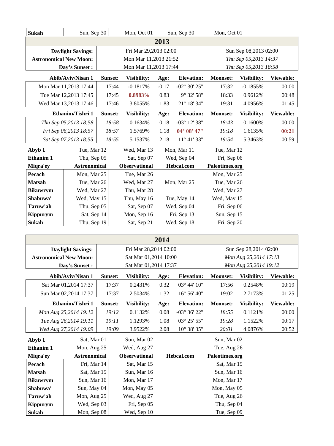| Sukah                            | Sun, Sep 30                |         | Mon, Oct 01                |             | Sun, Sep 30                   |  | Mon, Oct 01                                    |                       |           |  |
|----------------------------------|----------------------------|---------|----------------------------|-------------|-------------------------------|--|------------------------------------------------|-----------------------|-----------|--|
|                                  |                            |         |                            | 2013        |                               |  |                                                |                       |           |  |
|                                  | <b>Daylight Savings:</b>   |         | Fri Mar 29,2013 02:00      |             |                               |  |                                                | Sun Sep 08,2013 02:00 |           |  |
| <b>Astronomical New Moon:</b>    |                            |         | Mon Mar 11,2013 21:52      |             |                               |  |                                                | Thu Sep 05,2013 14:37 |           |  |
|                                  | Day's Sunset:              |         | Mon Mar 11,2013 17:44      |             |                               |  |                                                | Thu Sep 05,2013 18:58 |           |  |
|                                  | Abib/Aviv/Nisan 1          | Sunset: | Visibility:                | Age:        | <b>Elevation:</b>             |  | <b>Moonset:</b>                                | Visibility:           | Viewable: |  |
|                                  | Mon Mar 11,2013 17:44      | 17:44   | $-0.1817%$                 | $-0.17$     | $-02^{\circ}$ 30' 25"         |  | 17:32                                          | $-0.1855%$            | 00:00     |  |
|                                  | Tue Mar 12,2013 17:45      | 17:45   | 0.8983%                    | 0.83        | 9° 32' 58"                    |  | 18:33                                          | 0.9612%               | 00:48     |  |
|                                  | Wed Mar 13,2013 17:46      | 17:46   | 3.8055%                    | 1.83        | $21^{\circ}$ 18' 34"          |  | 19:31                                          | 4.0956%               | 01:45     |  |
|                                  | Ethanim/Tishri 1           | Sunset: | Visibility:                | Age:        | <b>Elevation:</b>             |  | <b>Moonset:</b>                                | Visibility:           | Viewable: |  |
|                                  | Thu Sep 05,2013 18:58      | 18:58   | 0.1634%                    | 0.18        | $-03^{\circ}$ 12' 38"         |  | 18:43                                          | 0.1600%               | 00:00     |  |
|                                  | Fri Sep 06,2013 18:57      | 18:57   | 1.5769%                    | 1.18        | 04° 08' 47"                   |  | 19:18                                          | 1.6135%               | 00:21     |  |
|                                  | Sat Sep 07,2013 18:55      | 18:55   | 5.1537%                    | 2.18        | 11° 41' 33"                   |  | 19:54                                          | 5.3463%               | 00:59     |  |
| Abyb 1                           | Tue, Mar 12                |         | Wed, Mar 13                |             | Mon, Mar 11                   |  | Tue, Mar 12                                    |                       |           |  |
| Ethanim 1                        | Thu, Sep 05                |         | Sat, Sep 07                | Wed, Sep 04 |                               |  | Fri, Sep 06                                    |                       |           |  |
| Miqra'ey                         | <b>Astronomical</b>        |         | Observational              |             | Hebcal.com                    |  | Paleotimes.org                                 |                       |           |  |
| Pecach                           | Mon, Mar 25                |         | Tue, Mar 26                |             |                               |  | Mon, Mar 25                                    |                       |           |  |
| <b>Matsah</b>                    | Tue, Mar 26                |         | Wed, Mar 27                |             | Mon, Mar 25                   |  | Tue, Mar 26                                    |                       |           |  |
| <b>Bikuwrym</b>                  | Wed, Mar 27                |         | Thu, Mar 28                |             |                               |  | Wed, Mar 27                                    |                       |           |  |
| Shabuwa'                         | Wed, May 15                |         | Thu, May 16                |             | Tue, May 14                   |  | Wed, May 15                                    |                       |           |  |
| Taruw'ah                         | Thu, Sep 05                |         | Sat, Sep 07                |             | Wed, Sep 04                   |  | Fri, Sep 06                                    |                       |           |  |
| Kippurym                         | Sat, Sep 14                |         | Mon, Sep 16                |             | Fri, Sep 13                   |  | Sun, Sep 15                                    |                       |           |  |
|                                  | Thu, Sep 19<br>Sukah       |         | Sat, Sep 21                |             | Wed, Sep 18                   |  | Fri, Sep 20                                    |                       |           |  |
|                                  |                            |         |                            |             |                               |  |                                                |                       |           |  |
|                                  |                            |         |                            | 2014        |                               |  |                                                |                       |           |  |
|                                  | <b>Daylight Savings:</b>   |         | Fri Mar 28,2014 02:00      |             |                               |  | Sun Sep 28,2014 02:00                          |                       |           |  |
| <b>Astronomical New Moon:</b>    |                            |         | Sat Mar 01,2014 10:00      |             |                               |  | Mon Aug 25,2014 17:13<br>Mon Aug 25,2014 19:12 |                       |           |  |
|                                  | Day's Sunset:              |         | Sat Mar 01,2014 17:37      |             |                               |  |                                                |                       |           |  |
|                                  | Abib/Aviv/Nisan 1          | Sunset: | Visibility:                | Age:        | <b>Elevation:</b>             |  | <b>Moonset:</b>                                | Visibility:           | Viewable: |  |
|                                  | Sat Mar 01,2014 17:37      | 17:37   | 0.2431%                    | 0.32        | 03° 44' 10"                   |  | 17:56                                          | 0.2548%               | 00:19     |  |
|                                  | Sun Mar 02,2014 17:37      | 17:37   | 2.5034%                    | 1.32        | $16^{\circ}$ 56' $40^{\circ}$ |  | 19:02                                          | 2.7173%               | 01:25     |  |
|                                  | Ethanim/Tishri 1           | Sunset: | Visibility:                | Age:        | <b>Elevation:</b>             |  | <b>Moonset:</b>                                | <b>Visibility:</b>    | Viewable: |  |
|                                  | Mon Aug 25,2014 19:12      | 19:12   | 0.1132%                    | 0.08        | -03° 36' 22"                  |  | 18:55                                          | 0.1121%               | 00:00     |  |
|                                  | Tue Aug 26,2014 19:11      | 19:11   | 1.1293%                    | 1.08        | 03° 25' 55"                   |  | 19:28                                          | 1.1522%               | 00:17     |  |
|                                  | Wed Aug 27,2014 19:09      | 19:09   | 3.9522%                    | 2.08        | $10^{\circ}$ 38' 35"          |  | 20:01                                          | 4.0876%               | 00:52     |  |
| Abyb 1                           | Sat, Mar 01                |         | Sun, Mar 02                |             |                               |  | Sun, Mar 02                                    |                       |           |  |
| Ethanim 1                        | Mon, Aug 25                |         | Wed, Aug 27                |             |                               |  | Tue, Aug 26                                    |                       |           |  |
| Miqra'ey                         | <b>Astronomical</b>        |         | <b>Observational</b>       |             | Hebcal.com                    |  | Paleotimes.org                                 |                       |           |  |
| Pecach                           | Fri, Mar 14                |         | Sat, Mar 15                |             |                               |  | Sat, Mar 15<br>Sun, Mar 16                     |                       |           |  |
| <b>Matsah</b><br><b>Bikuwrym</b> | Sat, Mar 15<br>Sun, Mar 16 |         | Sun, Mar 16<br>Mon, Mar 17 |             |                               |  | Mon, Mar 17                                    |                       |           |  |
| Shabuwa'                         | Sun, May 04                |         | Mon, May 05                |             |                               |  | Mon, May 05                                    |                       |           |  |
| Taruw'ah                         | Mon, Aug 25                |         | Wed, Aug 27                |             |                               |  | Tue, Aug 26                                    |                       |           |  |
| <b>Kippurym</b>                  | Wed, Sep 03                |         | Fri, Sep 05                |             |                               |  | Thu, Sep 04                                    |                       |           |  |
| Sukah                            | Mon, Sep 08                |         | Wed, Sep 10                |             |                               |  | Tue, Sep 09                                    |                       |           |  |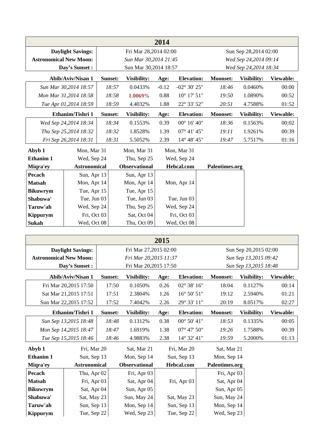| 2014                          |                          |         |                            |         |                        |                       |                       |           |  |  |
|-------------------------------|--------------------------|---------|----------------------------|---------|------------------------|-----------------------|-----------------------|-----------|--|--|
|                               | <b>Daylight Savings:</b> |         | Fri Mar 28,2014 02:00      |         |                        |                       | Sun Sep 28,2014 02:00 |           |  |  |
| <b>Astronomical New Moon:</b> |                          |         | Sun Mar 30,2014 21:45      |         |                        | Wed Sep 24,2014 09:14 |                       |           |  |  |
|                               | Day's Sunset :           |         | Sun Mar 30,2014 18:57      |         |                        |                       | Wed Sep 24,2014 18:34 |           |  |  |
|                               | <b>Abib/Aviv/Nisan 1</b> | Sunset: | <b>Visibility:</b>         | Age:    | <b>Elevation:</b>      | <b>Moonset:</b>       | Visibility:           | Viewable: |  |  |
|                               | Sun Mar 30,2014 18:57    | 18:57   | 0.0433%                    | $-0.12$ | $-02^{\circ} 30' 25''$ | 18:46                 | 0.0460%               | 00:00     |  |  |
|                               | Mon Mar 31,2014 18:58    | 18:58   | 1.0069%                    | 0.88    | $10^{\circ}$ 17' 51"   | 19:50                 | 1.0890%               | 00:52     |  |  |
|                               | Tue Apr 01,2014 18:59    | 18:59   | 4.4032%                    | 1.88    | 22° 33' 52"            | 20:51                 | 4.7588%               | 01:52     |  |  |
|                               | Ethanim/Tishri 1         | Sunset: | <b>Visibility:</b>         | Age:    | <b>Elevation:</b>      | <b>Moonset:</b>       | Visibility:           | Viewable: |  |  |
|                               | Wed Sep 24,2014 18:34    | 18:34   | 0.1553%                    | 0.39    | $00^{\circ}$ 16' 40"   | 18:36                 | 0.1563%               | 00:02     |  |  |
|                               | Thu Sep 25,2014 18:32    | 18:32   | 1.8528%                    | 1.39    | $07^{\circ}$ 41' 45"   | 19:11                 | 1.9261%               | 00:39     |  |  |
|                               | Fri Sep 26,2014 18:31    | 18:31   | 5.5052%                    | 2.39    | 14° 48' 45"            | 19:47                 | 5.7517%               | 01:16     |  |  |
| Abyb 1                        | Mon, Mar 31              |         | Mon, Mar 31<br>Mon, Mar 31 |         |                        |                       |                       |           |  |  |
| Ethanim 1                     | Wed, Sep 24              |         | Thu, Sep 25                |         | Wed, Sep 24            |                       |                       |           |  |  |
| Miqra'ey                      | <b>Astronomical</b>      |         | <b>Observational</b>       |         | Hebcal.com             | Paleotimes.org        |                       |           |  |  |
| Pecach                        | Sun, Apr 13              |         | Sun, Apr 13                |         |                        |                       |                       |           |  |  |
| <b>Matsah</b>                 | Mon, Apr 14              |         | Mon, Apr 14                |         | Mon, Apr 14            |                       |                       |           |  |  |
| <b>Bikuwrym</b>               | Tue, Apr 15              |         | Tue, Apr 15                |         |                        |                       |                       |           |  |  |
| Shabuwa'                      | Tue, Jun 03              |         | Tue, Jun 03                |         | Tue, Jun 03            |                       |                       |           |  |  |
| Taruw'ah                      | Wed, Sep 24              |         | Thu, Sep 25                |         | Wed, Sep 24            |                       |                       |           |  |  |
| <b>Kippurym</b>               | Fri, Oct 03              |         | Sat, Oct 04                |         | Fri, Oct 03            |                       |                       |           |  |  |
| Sukah                         | Wed, Oct 08              |         | Thu, Oct 09                |         | Wed, Oct 08            |                       |                       |           |  |  |

|                               | <b>Daylight Savings:</b> |                       | Fri Mar 27,2015 02:00 |      |                       |                 | Sun Sep 20,2015 02:00 |           |
|-------------------------------|--------------------------|-----------------------|-----------------------|------|-----------------------|-----------------|-----------------------|-----------|
| <b>Astronomical New Moon:</b> |                          | Fri Mar 20,2015 11:37 |                       |      |                       |                 | Sun Sep 13,2015 09:42 |           |
|                               | Day's Sunset:            | Fri Mar 20,2015 17:50 |                       |      |                       |                 | Sun Sep 13,2015 18:48 |           |
|                               | Abib/Aviv/Nisan 1        | Sunset:               | Visibility:           | Age: | <b>Elevation:</b>     | <b>Moonset:</b> | Visibility:           | Viewable: |
|                               | Fri Mar 20,2015 17:50    | 17:50                 | 0.1050%               | 0.26 | 02° 38' 16"           | 18:04           | 0.1127%               | 00:14     |
|                               | Sat Mar 21,2015 17:51    | 17:51                 | 2.3804%               | 1.26 | $16^{\circ}$ 50' 51"  | 19:12           | 2.5940%               | 01:21     |
|                               | Sun Mar 22,2015 17:52    | 17:52                 | 7.4042%               | 2.26 | 29° 33' 11"           | 20:19           | 8.0517%               | 02:27     |
|                               | Ethanim/Tishri 1         | Sunset:               | Visibility:           | Age: | <b>Elevation:</b>     | <b>Moonset:</b> | Visibility:           | Viewable: |
|                               | Sun Sep 13,2015 18:48    | 18:48                 | 0.1312%               | 0.38 | $00^{\circ} 50' 41''$ | 18:53           | 0.1335%               | 00:05     |
|                               | Mon Sep 14,2015 18:47    | 18:47                 | 1.6919%               | 1.38 | $07^{\circ}$ 47' 50"  | 19:26           | 1.7588%               | 00:39     |
|                               | Tue Sep 15,2015 18:46    | 18:46                 | 4.9883%               | 2.38 | 14° 32' 41"           | 19:59           | 5.2000%               | 01:13     |
| Abyb 1                        | Fri, Mar 20              |                       | Sat, Mar 21           |      | Fri, Mar 20           | Sat, Mar 21     |                       |           |
| <b>Ethanim 1</b>              | Sun, Sep 13              |                       | Mon, Sep 14           |      | Sun, Sep 13           | Mon, Sep 14     |                       |           |
| Miqra'ey                      | <b>Astronomical</b>      |                       | Observational         |      | Hebcal.com            | Paleotimes.org  |                       |           |
| Pecach                        | Thu, Apr 02              |                       | Fri, Apr 03           |      |                       | Fri, Apr 03     |                       |           |
| <b>Matsah</b>                 | Fri, Apr 03              |                       | Sat, Apr 04           |      | Fri, Apr 03           | Sat, Apr 04     |                       |           |
| <b>Bikuwrym</b>               | Sat, Apr 04              |                       | Sun, Apr 05           |      |                       | Sun, Apr 05     |                       |           |
| Shabuwa'                      | Sat, May 23              |                       | Sun, May 24           |      | Sat, May 23           | Sun, May 24     |                       |           |
| Taruw'ah                      | Sun, Sep 13              |                       | Mon, Sep 14           |      | Sun, Sep 13           | Mon, Sep 14     |                       |           |
| Kippurym                      | Tue, Sep 22              |                       | Wed, Sep 23           |      | Tue, Sep 22           | Wed, Sep 23     |                       |           |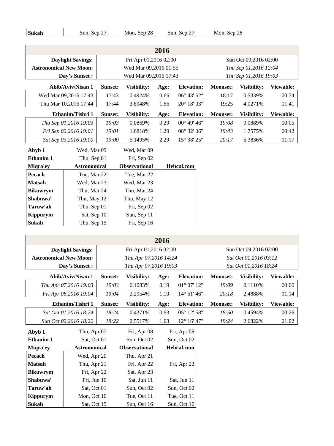| <b>Sukah</b><br>Sun, Sep $27$<br>Sun, Sep 27<br>Mon, Sep $28$ | Mon, Sep 28 |
|---------------------------------------------------------------|-------------|

| 2016                          |                          |                       |                       |      |                       |                       |                       |           |
|-------------------------------|--------------------------|-----------------------|-----------------------|------|-----------------------|-----------------------|-----------------------|-----------|
|                               | <b>Daylight Savings:</b> |                       | Fri Apr 01,2016 02:00 |      |                       | Sun Oct 09,2016 02:00 |                       |           |
| <b>Astronomical New Moon:</b> |                          | Wed Mar 09,2016 01:55 |                       |      |                       |                       | Thu Sep 01,2016 12:04 |           |
|                               | Day's Sunset:            |                       | Wed Mar 09,2016 17:43 |      |                       |                       | Thu Sep 01,2016 19:03 |           |
|                               | <b>Abib/Aviv/Nisan 1</b> | Sunset:               | Visibility:           | Age: | <b>Elevation:</b>     | <b>Moonset:</b>       | Visibility:           | Viewable: |
|                               | Wed Mar 09,2016 17:43    | 17:43                 | 0.4924%               | 0.66 | 06° 43' 52"           | 18:17                 | 0.5339%               | 00:34     |
|                               | Thu Mar 10,2016 17:44    | 17:44                 | 3.6948%               | 1.66 | 20° 18' 03"           | 19:25                 | 4.0271%               | 01:41     |
|                               | Ethanim/Tishri 1         | Sunset:               | Visibility:           | Age: | <b>Elevation:</b>     | <b>Moonset:</b>       | Visibility:           | Viewable: |
|                               | Thu Sep 01,2016 19:03    | 19:03                 | 0.0869%               | 0.29 | $00^{\circ}$ 49' 46"  | 19:08                 | 0.0889%               | 00:05     |
|                               | Fri Sep 02,2016 19:01    | 19:01                 | 1.6818%               | 1.29 | 08° 32' 06"           | 19:43                 | 1.7575%               | 00:42     |
|                               | Sat Sep 03,2016 19:00    | 19:00                 | 5.1495%               | 2.29 | $15^{\circ} 38' 25''$ | 20:17                 | 5.3836%               | 01:17     |
| Abyb 1                        | Wed, Mar 09              |                       | Wed, Mar 09           |      |                       |                       |                       |           |
| Ethanim 1                     | Thu, Sep 01              |                       | Fri, Sep 02           |      |                       |                       |                       |           |
| Miqra'ey                      | <b>Astronomical</b>      |                       | <b>Observational</b>  |      | Hebcal.com            |                       |                       |           |
| Pecach                        | Tue, Mar 22              |                       | Tue, Mar 22           |      |                       |                       |                       |           |
| <b>Matsah</b>                 | Wed, Mar 23              |                       | Wed, Mar 23           |      |                       |                       |                       |           |
| <b>Bikuwrym</b>               | Thu, Mar 24              |                       | Thu, Mar 24           |      |                       |                       |                       |           |
| Shabuwa'                      | Thu, May 12              |                       | Thu, May 12           |      |                       |                       |                       |           |
| Taruw'ah                      | Thu, Sep 01              |                       | Fri, Sep 02           |      |                       |                       |                       |           |
| <b>Kippurym</b>               | Sat, Sep 10              |                       | Sun, Sep 11           |      |                       |                       |                       |           |
| <b>Sukah</b>                  | Thu, Sep 15              |                       | Fri, Sep 16           |      |                       |                       |                       |           |

|                               |                          |                       | 2016                  |             |                       |                       |                       |           |  |
|-------------------------------|--------------------------|-----------------------|-----------------------|-------------|-----------------------|-----------------------|-----------------------|-----------|--|
|                               | <b>Daylight Savings:</b> |                       | Fri Apr 01,2016 02:00 |             |                       | Sun Oct 09,2016 02:00 |                       |           |  |
| <b>Astronomical New Moon:</b> |                          | Thu Apr 07,2016 14:24 |                       |             |                       |                       | Sat Oct 01,2016 03:12 |           |  |
| Day's Sunset:                 |                          |                       | Thu Apr 07,2016 19:03 |             |                       |                       | Sat Oct 01,2016 18:24 |           |  |
|                               | Abib/Aviv/Nisan 1        | Sunset:               | Visibility:           | Age:        | <b>Elevation:</b>     | <b>Moonset:</b>       | Visibility:           | Viewable: |  |
|                               | Thu Apr 07,2016 19:03    | 19:03                 | 0.1083%               | 0.19        | $01^{\circ} 07' 12"$  | 19:09                 | 0.1110%               | 00:06     |  |
|                               | Fri Apr 08,2016 19:04    | 19:04                 | 2.2954%               | 1.19        | $14^{\circ} 51' 46''$ | 20:18                 | 2.4888%               | 01:14     |  |
| Ethanim/Tishri 1              |                          | Sunset:               | Visibility:           | Age:        | <b>Elevation:</b>     | <b>Moonset:</b>       | Visibility:           | Viewable: |  |
|                               | Sat Oct 01,2016 18:24    | 18:24                 | 0.4371%               | 0.63        | 05° 12' 58"           | 18:50                 | 0.4594%               | 00:26     |  |
|                               | Sun Oct 02,2016 18:22    | 18:22                 | 2.5517%               | 1.63        | 12° 16' 47"           | 19:24                 | 2.6822%               | 01:02     |  |
| Abyb 1                        | Thu, Apr 07              |                       | Fri, Apr 08           | Fri, Apr 08 |                       |                       |                       |           |  |
| Ethanim 1                     | Sat, Oct 01              |                       | Sun, Oct 02           |             | Sun, Oct 02           |                       |                       |           |  |
| Miqra'ey                      | <b>Astronomical</b>      |                       | <b>Observational</b>  |             | <b>Hebcal.com</b>     |                       |                       |           |  |
| Pecach                        | Wed, Apr 20              |                       | Thu, Apr 21           |             |                       |                       |                       |           |  |
| <b>Matsah</b>                 | Thu, Apr 21              |                       | Fri, Apr 22           |             | Fri, Apr 22           |                       |                       |           |  |
| <b>Bikuwrym</b>               | Fri, Apr 22              |                       | Sat, Apr 23           |             |                       |                       |                       |           |  |
| Shabuwa'                      | Fri, Jun 10              |                       | Sat, Jun 11           |             | Sat, Jun 11           |                       |                       |           |  |
| Taruw'ah                      | Sat, Oct 01              |                       | Sun, Oct 02           |             | Sun, Oct 02           |                       |                       |           |  |
| <b>Kippurym</b>               | Mon, Oct 10              |                       | Tue, Oct 11           |             | Tue, Oct 11           |                       |                       |           |  |

**Sukah** Sat, Oct 15 Sun, Oct 16 Sun, Oct 16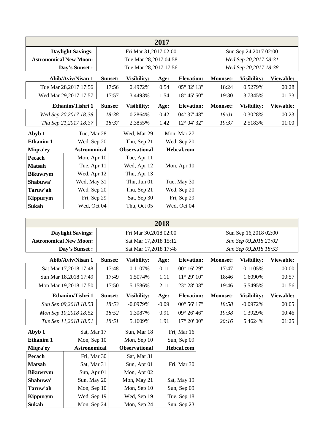|                               | 2017                     |         |                       |             |                       |                        |             |           |
|-------------------------------|--------------------------|---------|-----------------------|-------------|-----------------------|------------------------|-------------|-----------|
|                               | <b>Daylight Savings:</b> |         | Fri Mar 31,2017 02:00 |             |                       | Sun Sep 24, 2017 02:00 |             |           |
| <b>Astronomical New Moon:</b> |                          |         | Tue Mar 28,2017 04:58 |             | Wed Sep 20,2017 08:31 |                        |             |           |
|                               | Day's Sunset:            |         | Tue Mar 28,2017 17:56 |             |                       | Wed Sep 20,2017 18:38  |             |           |
|                               | Abib/Aviv/Nisan 1        | Sunset: | Visibility:           | Age:        | <b>Elevation:</b>     | <b>Moonset:</b>        | Visibility: | Viewable: |
|                               | Tue Mar 28, 2017 17:56   | 17:56   | 0.4972%               | 0.54        | $05^{\circ} 32' 13''$ | 18:24                  | 0.5279%     | 00:28     |
|                               | Wed Mar 29,2017 17:57    | 17:57   | 3.4493%               | 1.54        | $18^{\circ}$ 45' 50"  | 19:30                  | 3.7345%     | 01:33     |
|                               | Ethanim/Tishri 1         | Sunset: | <b>Visibility:</b>    | Age:        | <b>Elevation:</b>     | <b>Moonset:</b>        | Visibility: | Viewable: |
|                               | Wed Sep 20,2017 18:38    | 18:38   | 0.2864%               | 0.42        | $04^{\circ}$ 37' 48"  | 19:01                  | 0.3028%     | 00:23     |
|                               | Thu Sep 21,2017 18:37    | 18:37   | 2.3855%               | 1.42        | 12° 04' 32"           | 19:37                  | 2.5183%     | 01:00     |
| Abyb 1                        | Tue, Mar 28              |         | Wed, Mar 29           |             | Mon, Mar 27           |                        |             |           |
| Ethanim 1                     | Wed, Sep 20              |         | Thu, Sep 21           | Wed, Sep 20 |                       |                        |             |           |
| Miqra'ey                      | <b>Astronomical</b>      |         | <b>Observational</b>  |             | Hebcal.com            |                        |             |           |
| Pecach                        | Mon, Apr 10              |         | Tue, Apr 11           |             |                       |                        |             |           |
| <b>Matsah</b>                 | Tue, Apr 11              |         | Wed, Apr 12           |             | Mon, Apr 10           |                        |             |           |
| <b>Bikuwrym</b>               | Wed, Apr 12              |         | Thu, Apr 13           |             |                       |                        |             |           |
| Shabuwa'                      | Wed, May 31              |         | Thu, Jun 01           |             | Tue, May 30           |                        |             |           |
| Taruw'ah                      | Wed, Sep 20              |         | Thu, Sep 21           |             | Wed, Sep 20           |                        |             |           |
| <b>Kippurym</b>               | Fri, Sep 29              |         | Sat, Sep 30           |             | Fri, Sep 29           |                        |             |           |
| Sukah                         | Wed, Oct 04              |         | Thu, Oct 05           |             | Wed, Oct 04           |                        |             |           |

|                               | <b>Daylight Savings:</b> |                       | Fri Mar 30,2018 02:00      |         |                       | Sun Sep 16,2018 02:00 |                       |                  |  |
|-------------------------------|--------------------------|-----------------------|----------------------------|---------|-----------------------|-----------------------|-----------------------|------------------|--|
| <b>Astronomical New Moon:</b> |                          | Sat Mar 17,2018 15:12 |                            |         |                       | Sun Sep 09,2018 21:02 |                       |                  |  |
|                               | Day's Sunset:            |                       | Sat Mar 17,2018 17:48      |         |                       |                       | Sun Sep 09,2018 18:53 |                  |  |
|                               | Abib/Aviv/Nisan 1        | Sunset:               | <b>Visibility:</b>         | Age:    | <b>Elevation:</b>     | <b>Moonset:</b>       | Visibility:           | <b>Viewable:</b> |  |
|                               | Sat Mar 17,2018 17:48    | 17:48                 | 0.1107%                    | 0.11    | $-00^{\circ}$ 16' 29" | 17:47                 | 0.1105%               | 00:00            |  |
|                               | Sun Mar 18,2018 17:49    | 17:49                 | 1.5074%                    | 1.11    | $11^{\circ} 29' 10''$ | 18:46                 | 1.6090%               | 00:57            |  |
| Mon Mar 19,2018 17:50         |                          | 17:50                 | 5.1586%                    | 2.11    | 23° 28' 08"           | 19:46                 | 5.5495%               | 01:56            |  |
|                               | Ethanim/Tishri 1         | Sunset:               | <b>Visibility:</b>         | Age:    | <b>Elevation:</b>     | <b>Moonset:</b>       | Visibility:           | Viewable:        |  |
|                               | Sun Sep 09,2018 18:53    | 18:53                 | $-0.0979%$                 | $-0.09$ | $00^{\circ} 56' 17''$ | 18:58                 | $-0.0972%$            | 00:05            |  |
| Mon Sep 10,2018 18:52         |                          | 18:52                 | 1.3087%                    | 0.91    | $09^{\circ} 26' 46''$ | 19:38                 | 1.3929%               | 00:46            |  |
|                               | Tue Sep 11,2018 18:51    | 18:51                 | 5.1609%                    | 1.91    | $17^{\circ} 20' 00''$ | 20:16                 | 5.4624%               | 01:25            |  |
| Abyb 1                        | Sat, Mar 17              |                       | Fri, Mar 16<br>Sun, Mar 18 |         |                       |                       |                       |                  |  |
| <b>Ethanim 1</b>              | Mon, Sep 10              |                       | Mon, Sep 10                |         | Sun, Sep 09           |                       |                       |                  |  |

| <b>Ethanim 1</b> | Mon, Sep 10         | Mon, Sep 10          | Sun, Sep 09 |
|------------------|---------------------|----------------------|-------------|
| Migra'ey         | <b>Astronomical</b> | <b>Observational</b> | Hebcal.com  |
| Pecach           | Fri, Mar 30         | Sat, Mar 31          |             |
| <b>Matsah</b>    | Sat, Mar 31         | Sun, Apr 01          | Fri, Mar 30 |
| <b>Bikuwrym</b>  | Sun, Apr 01         | Mon, Apr 02          |             |
| Shabuwa'         | Sun, May 20         | Mon, May 21          | Sat, May 19 |
| Taruw'ah         | Mon, Sep 10         | Mon, Sep 10          | Sun, Sep 09 |
| Kippurym         | Wed, Sep 19         | Wed, Sep 19          | Tue, Sep 18 |
| Sukah            | Mon, Sep 24         | Mon, Sep 24          | Sun, Sep 23 |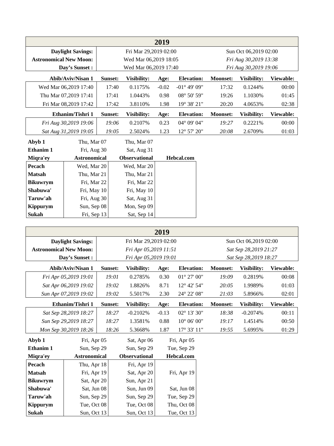| 2019                          |                          |         |                       |         |                               |                       |             |           |  |  |
|-------------------------------|--------------------------|---------|-----------------------|---------|-------------------------------|-----------------------|-------------|-----------|--|--|
|                               | <b>Daylight Savings:</b> |         | Fri Mar 29,2019 02:00 |         |                               | Sun Oct 06,2019 02:00 |             |           |  |  |
| <b>Astronomical New Moon:</b> |                          |         | Wed Mar 06,2019 18:05 |         | Fri Aug 30,2019 13:38         |                       |             |           |  |  |
|                               | Day's Sunset:            |         | Wed Mar 06,2019 17:40 |         | Fri Aug 30,2019 19:06         |                       |             |           |  |  |
|                               | <b>Abib/Aviv/Nisan 1</b> | Sunset: | Visibility:           | Age:    | <b>Elevation:</b>             | <b>Moonset:</b>       | Visibility: | Viewable: |  |  |
|                               | Wed Mar 06,2019 17:40    | 17:40   | 0.1175%               | $-0.02$ | $-01^{\circ}$ 49' 09"         | 17:32                 | 0.1244%     | 00:00     |  |  |
|                               | Thu Mar 07,2019 17:41    | 17:41   | 1.0443%               | 0.98    | 08° 50' 59"                   | 19:26                 | 1.1030%     | 01:45     |  |  |
|                               | Fri Mar 08,2019 17:42    | 17:42   | 3.8110%               | 1.98    | 19° 38' 21"                   | 20:20                 | 4.0653%     | 02:38     |  |  |
|                               | Ethanim/Tishri 1         | Sunset: | Visibility:           | Age:    | <b>Elevation:</b>             | <b>Moonset:</b>       | Visibility: | Viewable: |  |  |
|                               | Fri Aug 30,2019 19:06    | 19:06   | 0.2107%               | 0.23    | 04° 09' 04"                   | 19:27                 | 0.2221%     | 00:00     |  |  |
|                               | Sat Aug 31,2019 19:05    | 19:05   | 2.5024%               | 1.23    | $12^{\circ}$ 57' $20^{\circ}$ | 20:08                 | 2.6709%     | 01:03     |  |  |
| Abyb 1                        | Thu, Mar 07              |         | Thu, Mar 07           |         |                               |                       |             |           |  |  |
| <b>Ethanim 1</b>              | Fri, Aug 30              |         | Sat, Aug 31           |         |                               |                       |             |           |  |  |
| Miqra'ey                      | <b>Astronomical</b>      |         | <b>Observational</b>  |         | Hebcal.com                    |                       |             |           |  |  |
| Pecach                        | Wed, Mar 20              |         | Wed, Mar 20           |         |                               |                       |             |           |  |  |
| <b>Matsah</b>                 | Thu, Mar 21              |         | Thu, Mar 21           |         |                               |                       |             |           |  |  |
| <b>Bikuwrym</b>               | Fri, Mar 22              |         | Fri, Mar 22           |         |                               |                       |             |           |  |  |
| Shabuwa'                      | Fri, May 10              |         | Fri, May 10           |         |                               |                       |             |           |  |  |
| Taruw'ah                      | Fri, Aug 30              |         | Sat, Aug 31           |         |                               |                       |             |           |  |  |
| <b>Kippurym</b>               | Sun, Sep 08              |         | Mon, Sep 09           |         |                               |                       |             |           |  |  |
| Sukah                         | Fri, Sep 13              |         | Sat, Sep 14           |         |                               |                       |             |           |  |  |
|                               |                          |         |                       |         |                               |                       |             |           |  |  |
|                               |                          |         |                       | 2019    |                               |                       |             |           |  |  |

|                               | 2019                     |         |                       |         |                       |                 |                       |           |
|-------------------------------|--------------------------|---------|-----------------------|---------|-----------------------|-----------------|-----------------------|-----------|
|                               | <b>Daylight Savings:</b> |         | Fri Mar 29,2019 02:00 |         |                       |                 | Sun Oct 06,2019 02:00 |           |
| <b>Astronomical New Moon:</b> |                          |         | Fri Apr 05,2019 11:51 |         | Sat Sep 28,2019 21:27 |                 |                       |           |
|                               | Day's Sunset :           |         | Fri Apr 05,2019 19:01 |         | Sat Sep 28,2019 18:27 |                 |                       |           |
|                               | Abib/Aviv/Nisan 1        | Sunset: | Visibility:           | Age:    | <b>Elevation:</b>     | <b>Moonset:</b> | Visibility:           | Viewable: |
|                               | Fri Apr 05,2019 19:01    | 19:01   | 0.2785%               | 0.30    | $01^{\circ} 27' 00''$ | 19:09           | 0.2819%               | 00:08     |
|                               | Sat Apr 06,2019 19:02    | 19:02   | 1.8826%               | 8.71    | 12° 42' 54"           | 20:05           | 1.9989%               | 01:03     |
|                               | Sun Apr 07,2019 19:02    | 19:02   | 5.5017%               | 2.30    | 24° 22' 08"           | 21:03           | 5.8966%               | 02:01     |
|                               | Ethanim/Tishri 1         | Sunset: | Visibility:           | Age:    | <b>Elevation:</b>     | <b>Moonset:</b> | Visibility:           | Viewable: |
|                               | Sat Sep 28,2019 18:27    | 18:27   | $-0.2102%$            | $-0.13$ | $02^{\circ}$ 13' 30"  | 18:38           | $-0.2074%$            | 00:11     |
|                               | Sun Sep 29,2019 18:27    | 18:27   | 1.3581%               | 0.88    | $10^{\circ}$ 06' 00"  | 19:17           | 1.4514%               | 00:50     |
|                               | Mon Sep 30,2019 18:26    | 18:26   | 5.3668%               | 1.87    | 17° 33' 11"           | 19:55           | 5.6995%               | 01:29     |
| Abyb 1                        | Fri, Apr 05              |         | Sat, Apr 06           |         | Fri, Apr 05           |                 |                       |           |
| Ethanim 1                     | Sun, Sep 29              |         | Sun, Sep 29           |         | Tue, Sep 29           |                 |                       |           |
| Miqra'ey                      | <b>Astronomical</b>      |         | <b>Observational</b>  |         | Hebcal.com            |                 |                       |           |
| Pecach                        | Thu, Apr 18              |         | Fri, Apr 19           |         |                       |                 |                       |           |
| <b>Matsah</b>                 | Fri, Apr 19              |         | Sat, Apr 20           |         | Fri, Apr 19           |                 |                       |           |
| <b>Bikuwrym</b>               | Sat, Apr 20              |         | Sun, Apr 21           |         |                       |                 |                       |           |
| Shabuwa'                      | Sat, Jun 08              |         | Sun, Jun 09           |         | Sat, Jun 08           |                 |                       |           |
| Taruw'ah                      | Sun, Sep 29              |         | Sun, Sep 29           |         | Tue, Sep 29           |                 |                       |           |
| Kippurym                      | Tue, Oct 08              |         | Tue, Oct 08           |         | Thu, Oct 08           |                 |                       |           |
| Sukah                         | Sun, Oct 13              |         | Sun, Oct 13           |         | Tue, Oct 13           |                 |                       |           |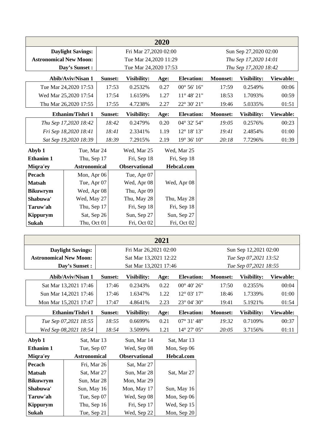|                               | 2020                     |         |                       |             |                                                |                       |                       |           |  |  |
|-------------------------------|--------------------------|---------|-----------------------|-------------|------------------------------------------------|-----------------------|-----------------------|-----------|--|--|
|                               | <b>Daylight Savings:</b> |         | Fri Mar 27,2020 02:00 |             |                                                |                       |                       |           |  |  |
| <b>Astronomical New Moon:</b> |                          |         | Tue Mar 24,2020 11:29 |             | Sun Sep 27,2020 02:00<br>Thu Sep 17,2020 14:01 |                       |                       |           |  |  |
|                               |                          |         | Tue Mar 24,2020 17:53 |             |                                                |                       |                       |           |  |  |
|                               | Day's Sunset:            |         |                       |             |                                                | Thu Sep 17,2020 18:42 |                       |           |  |  |
|                               | Abib/Aviv/Nisan 1        | Sunset: | Visibility:           | Age:        | <b>Elevation:</b>                              | <b>Moonset:</b>       | Visibility:           | Viewable: |  |  |
|                               | Tue Mar 24,2020 17:53    | 17:53   | 0.2532%               | 0.27        | $00^{\circ}$ 56' 16"                           | 17:59                 | 0.2549%               | 00:06     |  |  |
|                               | Wed Mar 25,2020 17:54    | 17:54   | 1.6159%               | 1.27        | $11^{\circ}$ 48' $21"$                         | 18:53                 | 1.7093%               | 00:59     |  |  |
|                               | Thu Mar 26,2020 17:55    | 17:55   | 4.7238%               | 2.27        | 22° 30' 21"                                    | 19:46                 | 5.0335%               | 01:51     |  |  |
|                               | Ethanim/Tishri 1         | Sunset: | Visibility:           | Age:        | <b>Elevation:</b>                              | <b>Moonset:</b>       | Visibility:           | Viewable: |  |  |
|                               | Thu Sep 17,2020 18:42    | 18:42   | 0.2479%               | 0.20        | 04° 32' 54"                                    | 19:05                 | 0.2576%               | 00:23     |  |  |
|                               | Fri Sep 18,2020 18:41    | 18:41   | 2.3341%               | 1.19        | 12° 18' 13"                                    | 19:41                 | 2.4854%               | 01:00     |  |  |
|                               | Sat Sep 19,2020 18:39    | 18:39   | 7.2915%               | 2.19        | 19° 36' 10"                                    | 20:18                 | 7.7296%               | 01:39     |  |  |
| Abyb 1<br>Tue, Mar 24         |                          |         | Wed, Mar 25           |             | Wed, Mar 25                                    |                       |                       |           |  |  |
| Ethanim 1                     | Thu, Sep 17              |         | Fri, Sep 18           | Fri, Sep 18 |                                                |                       |                       |           |  |  |
| Miqra'ey                      | <b>Astronomical</b>      |         | <b>Observational</b>  |             | Hebcal.com                                     |                       |                       |           |  |  |
| Pecach                        | Mon, Apr 06              |         | Tue, Apr 07           |             |                                                |                       |                       |           |  |  |
| <b>Matsah</b>                 | Tue, Apr 07              |         | Wed, Apr 08           |             | Wed, Apr 08                                    |                       |                       |           |  |  |
| <b>Bikuwrym</b>               | Wed, Apr 08              |         | Thu, Apr 09           |             |                                                |                       |                       |           |  |  |
| Shabuwa'                      | Wed, May 27              |         | Thu, May 28           |             | Thu, May 28                                    |                       |                       |           |  |  |
| Taruw'ah                      | Thu, Sep 17              |         | Fri, Sep 18           |             | Fri, Sep 18                                    |                       |                       |           |  |  |
| <b>Kippurym</b>               | Sat, Sep 26              |         | Sun, Sep 27           |             | Sun, Sep 27                                    |                       |                       |           |  |  |
| Sukah                         | Thu, Oct 01              |         | Fri, Oct 02           |             | Fri, Oct 02                                    |                       |                       |           |  |  |
|                               |                          |         |                       |             |                                                |                       |                       |           |  |  |
|                               |                          |         |                       | 2021        |                                                |                       |                       |           |  |  |
|                               | <b>Daylight Savings:</b> |         | Fri Mar 26,2021 02:00 |             |                                                |                       | Sun Sep 12,2021 02:00 |           |  |  |
| <b>Astronomical New Moon:</b> |                          |         | Sat Mar 13,2021 12:22 |             |                                                |                       | Tue Sep 07,2021 13:52 |           |  |  |
| Day's Sunset:                 |                          |         | Sat Mar 13,2021 17:46 |             |                                                |                       | Tue Sep 07,2021 18:55 |           |  |  |
|                               | Abib/Aviv/Nisan 1        |         |                       |             |                                                |                       |                       |           |  |  |
|                               |                          | Sunset: | Visibility:           | Age:        | <b>Elevation:</b>                              | <b>Moonset:</b>       | Visibility:           | Viewable: |  |  |

| Sun Mar 14,2021 17:46 | 17:46   | 1.6347%     | 1.22 | $12^{\circ}$ 03' 17" | 18:46           | 1.7339%     | 01:00     |
|-----------------------|---------|-------------|------|----------------------|-----------------|-------------|-----------|
| Mon Mar 15,2021 17:47 | 17:47   | 4.8641%     | 2.23 | $23^{\circ}$ 04' 30" | 19:41           | 5.1921\%    | 01:54     |
|                       |         |             |      |                      |                 |             |           |
| Ethanim/Tishri 1      | Sunset: | Visibility: | Age: | <b>Elevation:</b>    | <b>Moonset:</b> | Visibility: | Viewable: |
| Tue Sep 07,2021 18:55 | 18:55   | 0.6699%     | 0.21 | $07^{\circ}$ 31' 48" | 19:32           | 0.7109%     | 00:37     |

| Abyb 1          | Sat, Mar 13         | Sun, Mar 14          | Sat, Mar 13       |
|-----------------|---------------------|----------------------|-------------------|
| Ethanim 1       | Tue, Sep 07         | Wed, Sep 08          | Mon, Sep 06       |
| Migra'ey        | <b>Astronomical</b> | <b>Observational</b> | <b>Hebcal.com</b> |
| Pecach          | Fri, Mar 26         | Sat, Mar 27          |                   |
| <b>Matsah</b>   | Sat, Mar 27         | Sun, Mar 28          | Sat, Mar 27       |
| <b>Bikuwrym</b> | Sun, Mar 28         | Mon, Mar 29          |                   |
| Shabuwa'        | Sun, May 16         | Mon, May 17          | Sun, May 16       |
| Taruw'ah        | Tue, Sep 07         | Wed, Sep 08          | Mon, Sep 06       |
| <b>Kippurym</b> | Thu, Sep 16         | Fri, Sep 17          | Wed, Sep 15       |
| Sukah           | Tue, Sep 21         | Wed, Sep 22          | Mon, Sep 20       |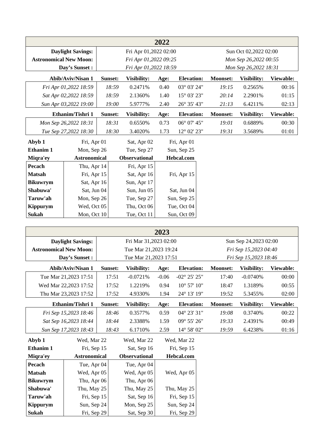|                               |                          |         |                       | 2022 |                      |                 |                       |           |
|-------------------------------|--------------------------|---------|-----------------------|------|----------------------|-----------------|-----------------------|-----------|
|                               | <b>Daylight Savings:</b> |         | Fri Apr 01,2022 02:00 |      |                      |                 | Sun Oct 02,2022 02:00 |           |
| <b>Astronomical New Moon:</b> |                          |         | Fri Apr 01,2022 09:25 |      |                      |                 | Mon Sep 26,2022 00:55 |           |
|                               | Day's Sunset:            |         | Fri Apr 01,2022 18:59 |      |                      |                 | Mon Sep 26,2022 18:31 |           |
|                               | Abib/Aviv/Nisan 1        | Sunset: | Visibility:           | Age: | <b>Elevation:</b>    | <b>Moonset:</b> | Visibility:           | Viewable: |
|                               | Fri Apr 01,2022 18:59    | 18:59   | 0.2471%               | 0.40 | $03^{\circ} 03' 24"$ | 19:15           | 0.2565%               | 00:16     |
|                               | Sat Apr 02,2022 18:59    | 18:59   | 2.1360%               | 1.40 | 15° 03' 23"          | 20:14           | 2.2901%               | 01:15     |
|                               | Sun Apr 03,2022 19:00    | 19:00   | 5.9777%               | 2.40 | 26° 35' 43"          | 21:13           | 6.4211%               | 02:13     |
|                               | Ethanim/Tishri 1         | Sunset: | Visibility:           | Age: | <b>Elevation:</b>    | <b>Moonset:</b> | Visibility:           | Viewable: |
|                               | Mon Sep 26,2022 18:31    | 18:31   | 0.6550%               | 0.73 | 06° 07' 45"          | 19:01           | 0.6889%               | 00:30     |
|                               | Tue Sep 27,2022 18:30    | 18:30   | 3.4020%               | 1.73 | 12° 02' 23"          | 19:31           | 3.5689%               | 01:01     |
| Abyb 1                        | Fri, Apr 01              |         | Sat, Apr 02           |      | Fri, Apr 01          |                 |                       |           |
| <b>Ethanim 1</b>              | Mon, Sep 26              |         | Tue, Sep 27           |      | Sun, Sep 25          |                 |                       |           |
| Miqra'ey                      | <b>Astronomical</b>      |         | <b>Observational</b>  |      | Hebcal.com           |                 |                       |           |
| Pecach                        | Thu, Apr 14              |         | Fri, Apr 15           |      |                      |                 |                       |           |
| <b>Matsah</b>                 | Fri, Apr 15              |         | Sat, Apr 16           |      | Fri, Apr 15          |                 |                       |           |
| <b>Bikuwrym</b>               | Sat, Apr 16              |         | Sun, Apr 17           |      |                      |                 |                       |           |
| Shabuwa'                      | Sat, Jun 04              |         | Sun, Jun 05           |      | Sat, Jun 04          |                 |                       |           |
| Taruw'ah                      | Mon, Sep 26              |         | Tue, Sep 27           |      | Sun, Sep 25          |                 |                       |           |
| <b>Kippurym</b>               | Wed, Oct 05              |         | Thu, Oct 06           |      | Tue, Oct 04          |                 |                       |           |
| Sukah                         | Mon, Oct 10              |         | Tue, Oct 11           |      | Sun, Oct 09          |                 |                       |           |

|                               |                          |         |                       | 2023    |                               |                 |                       |           |
|-------------------------------|--------------------------|---------|-----------------------|---------|-------------------------------|-----------------|-----------------------|-----------|
|                               | <b>Daylight Savings:</b> |         | Fri Mar 31,2023 02:00 |         |                               |                 | Sun Sep 24,2023 02:00 |           |
| <b>Astronomical New Moon:</b> |                          |         | Tue Mar 21,2023 19:24 |         |                               |                 | Fri Sep 15,2023 04:40 |           |
|                               | Day's Sunset :           |         | Tue Mar 21,2023 17:51 |         |                               |                 | Fri Sep 15,2023 18:46 |           |
|                               | Abib/Aviv/Nisan 1        | Sunset: | Visibility:           | Age:    | <b>Elevation:</b>             | <b>Moonset:</b> | Visibility:           | Viewable: |
|                               | Tue Mar 21, 2023 17:51   | 17:51   | $-0.0721%$            | $-0.06$ | $-02^{\circ} 25' 25''$        | 17:40           | $-0.0740%$            | 00:00     |
|                               | Wed Mar 22,2023 17:52    | 17:52   | 1.2219%               | 0.94    | $10^{\circ}$ 57' $10^{\circ}$ | 18:47           | 1.3189%               | 00:55     |
|                               | Thu Mar 23,2023 17:52    | 17:52   | 4.9330%               | 1.94    | 24° 13' 19"                   | 19:52           | 5.3455%               | 02:00     |
|                               | Ethanim/Tishri 1         | Sunset: | Visibility:           | Age:    | <b>Elevation:</b>             | <b>Moonset:</b> | Visibility:           | Viewable: |
|                               | Fri Sep 15,2023 18:46    | 18:46   | 0.3577%               | 0.59    | $04^{\circ} 23' 31''$         | 19:08           | 0.3740%               | 00:22     |
|                               | Sat Sep 16,2023 18:44    | 18:44   | 2.3388%               | 1.59    | 09° 55' 26"                   | 19:33           | 2.4391%               | 00:49     |
|                               | Sun Sep 17,2023 18:43    | 18:43   | 6.1710%               | 2.59    | 14° 58' 02"                   | 19:59           | 6.4238%               | 01:16     |
| Abyb 1                        | Wed, Mar 22              |         | Wed, Mar 22           |         | Wed, Mar 22                   |                 |                       |           |
| <b>Ethanim 1</b>              | Fri, Sep 15              |         | Sat, Sep 16           |         | Fri, Sep 15                   |                 |                       |           |
| Miqra'ey                      | <b>Astronomical</b>      |         | <b>Observational</b>  |         | Hebcal.com                    |                 |                       |           |
| Pecach                        | Tue, Apr 04              |         | Tue, Apr 04           |         |                               |                 |                       |           |
| <b>Matsah</b>                 | Wed, Apr 05              |         | Wed, Apr 05           |         | Wed, Apr 05                   |                 |                       |           |
| <b>Bikuwrym</b>               | Thu, Apr 06              |         | Thu, Apr 06           |         |                               |                 |                       |           |
| Shabuwa'                      | Thu, May 25              |         | Thu, May 25           |         | Thu, May 25                   |                 |                       |           |
| Taruw'ah                      | Fri, Sep 15              |         | Sat, Sep 16           |         | Fri, Sep 15                   |                 |                       |           |
| <b>Kippurym</b>               | Sun, Sep 24              |         | Mon, Sep 25           |         | Sun, Sep 24                   |                 |                       |           |
| Sukah                         | Fri, Sep 29              |         | Sat, Sep 30           |         | Fri, Sep 29                   |                 |                       |           |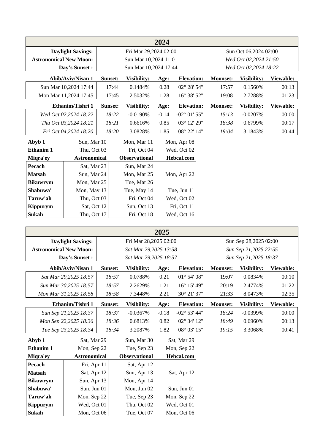|                               |                          |         |                       | 2024    |                        |                 |                       |           |
|-------------------------------|--------------------------|---------|-----------------------|---------|------------------------|-----------------|-----------------------|-----------|
|                               | <b>Daylight Savings:</b> |         | Fri Mar 29,2024 02:00 |         |                        |                 | Sun Oct 06,2024 02:00 |           |
| <b>Astronomical New Moon:</b> |                          |         | Sun Mar 10,2024 11:01 |         |                        |                 | Wed Oct 02,2024 21:50 |           |
|                               | Day's Sunset:            |         | Sun Mar 10,2024 17:44 |         |                        |                 | Wed Oct 02,2024 18:22 |           |
|                               | Abib/Aviv/Nisan 1        | Sunset: | Visibility:           | Age:    | <b>Elevation:</b>      | <b>Moonset:</b> | Visibility:           | Viewable: |
|                               | Sun Mar 10,2024 17:44    | 17:44   | 0.1484%               | 0.28    | $02^{\circ} 28' 54''$  | 17:57           | 0.1560%               | 00:13     |
|                               | Mon Mar 11,2024 17:45    | 17:45   | 2.5032%               | 1.28    | 16° 38' 52"            | 19:08           | 2.7288%               | 01:23     |
|                               | Ethanim/Tishri 1         | Sunset: | Visibility:           | Age:    | <b>Elevation:</b>      | Moonset:        | Visibility:           | Viewable: |
|                               | Wed Oct 02,2024 18:22    | 18:22   | $-0.0190%$            | $-0.14$ | $-02^{\circ} 01' 55''$ | 15:13           | $-0.0207%$            | 00:00     |
|                               | Thu Oct 03,2024 18:21    | 18:21   | 0.6616%               | 0.85    | 03° 12' 29"            | 18:38           | 0.6799%               | 00:17     |
|                               | Fri Oct 04,2024 18:20    | 18:20   | 3.0828%               | 1.85    | 08° 22' 14"            | 19:04           | 3.1843%               | 00:44     |
| Abyb 1                        | Sun, Mar 10              |         | Mon. Mar 11           |         | Mon, Apr 08            |                 |                       |           |
| <b>Ethanim 1</b>              | Thu, Oct 03              |         | Fri. Oct 04           |         | Wed. Oct 02            |                 |                       |           |
| Miqra'ey                      | <b>Astronomical</b>      |         | <b>Observational</b>  |         | Hebcal.com             |                 |                       |           |
| Pecach                        | Sat, Mar 23              |         | Sun, Mar 24           |         |                        |                 |                       |           |
| <b>Matsah</b>                 | Sun, Mar 24              |         | Mon, Mar 25           |         | Mon, Apr 22            |                 |                       |           |
| <b>Bikuwrym</b>               | Mon, Mar 25              |         | Tue, Mar 26           |         |                        |                 |                       |           |
| Shabuwa'                      | Mon, May 13              |         | Tue, May 14           |         | Tue, Jun 11            |                 |                       |           |
| Taruw'ah                      | Thu, Oct 03              |         | Fri, Oct 04           |         | Wed, Oct 02            |                 |                       |           |
| <b>Kippurym</b>               | Sat, Oct 12              |         | Sun, Oct 13           |         | Fri, Oct 11            |                 |                       |           |
| Sukah                         | Thu, Oct 17              |         | Fri, Oct 18           |         | Wed, Oct 16            |                 |                       |           |

|                               |                          |         |                       | 2025    |                       |                 |                       |           |
|-------------------------------|--------------------------|---------|-----------------------|---------|-----------------------|-----------------|-----------------------|-----------|
|                               | <b>Daylight Savings:</b> |         | Fri Mar 28,2025 02:00 |         |                       |                 | Sun Sep 28,2025 02:00 |           |
| <b>Astronomical New Moon:</b> |                          |         | Sat Mar 29,2025 13:58 |         |                       |                 | Sun Sep 21,2025 22:55 |           |
|                               | Day's Sunset :           |         | Sat Mar 29,2025 18:57 |         |                       |                 | Sun Sep 21,2025 18:37 |           |
|                               | Abib/Aviv/Nisan 1        | Sunset: | Visibility:           | Age:    | <b>Elevation:</b>     | Moonset:        | Visibility:           | Viewable: |
|                               | Sat Mar 29,2025 18:57    | 18:57   | 0.0788%               | 0.21    | $01^{\circ}$ 54' 08"  | 19:07           | 0.0834%               | 00:10     |
|                               | Sun Mar 30,2025 18:57    | 18:57   | 2.2629%               | 1.21    | 16° 15' 49"           | 20:19           | 2.4774%               | 01:22     |
|                               | Mon Mar 31,2025 18:58    | 18:58   | 7.3448%               | 2.21    | 30° 21′ 37″           | 21:33           | 8.0473%               | 02:35     |
|                               | Ethanim/Tishri 1         | Sunset: | Visibility:           | Age:    | <b>Elevation:</b>     | <b>Moonset:</b> | Visibility:           | Viewable: |
|                               | Sun Sep 21,2025 18:37    | 18:37   | $-0.0367%$            | $-0.18$ | $-02^{\circ}$ 53' 44" | 18:24           | $-0.0399%$            | 00:00     |
|                               | Mon Sep 22,2025 18:36    | 18:36   | 0.6813%               | 0.82    | 02° 34' 12"           | 18:49           | 0.6960%               | 00:13     |
|                               | Tue Sep 23,2025 18:34    | 18:34   | 3.2087%               | 1.82    | 08° 03' 15"           | 19:15           | 3.3068%               | 00:41     |
| Abyb 1                        | Sat, Mar 29              |         | Sun, Mar 30           |         | Sat, Mar 29           |                 |                       |           |
| <b>Ethanim 1</b>              | Mon, Sep 22              |         | Tue, Sep 23           |         | Mon, Sep 22           |                 |                       |           |
| Miqra'ey                      | <b>Astronomical</b>      |         | <b>Observational</b>  |         | Hebcal.com            |                 |                       |           |
| Pecach                        | Fri, Apr 11              |         | Sat, Apr 12           |         |                       |                 |                       |           |
| <b>Matsah</b>                 | Sat, Apr 12              |         | Sun, Apr 13           |         | Sat, Apr 12           |                 |                       |           |
| <b>Bikuwrym</b>               | Sun, Apr 13              |         | Mon, Apr 14           |         |                       |                 |                       |           |
| Shabuwa'                      | Sun, Jun 01              |         | Mon, Jun 02           |         | Sun, Jun 01           |                 |                       |           |
| Taruw'ah                      | Mon, Sep 22              |         | Tue, Sep 23           |         | Mon, Sep 22           |                 |                       |           |
| <b>Kippurym</b>               | Wed, Oct 01              |         | Thu, Oct 02           |         | Wed, Oct 01           |                 |                       |           |
| Sukah                         | Mon, Oct 06              |         | Tue, Oct 07           |         | Mon, Oct 06           |                 |                       |           |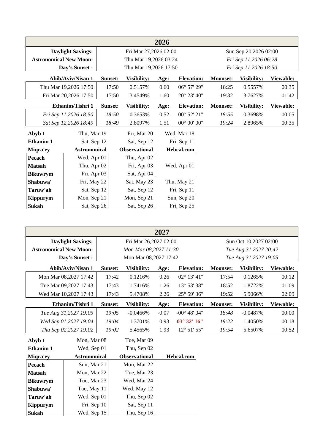|                               |                          |         |                       | 2026 |                      |                 |                       |           |
|-------------------------------|--------------------------|---------|-----------------------|------|----------------------|-----------------|-----------------------|-----------|
|                               | <b>Daylight Savings:</b> |         | Fri Mar 27,2026 02:00 |      |                      |                 | Sun Sep 20,2026 02:00 |           |
| <b>Astronomical New Moon:</b> |                          |         | Thu Mar 19,2026 03:24 |      |                      |                 | Fri Sep 11,2026 06:28 |           |
|                               | Day's Sunset:            |         | Thu Mar 19,2026 17:50 |      |                      |                 | Fri Sep 11,2026 18:50 |           |
|                               | Abib/Aviv/Nisan 1        | Sunset: | Visibility:           | Age: | <b>Elevation:</b>    | <b>Moonset:</b> | Visibility:           | Viewable: |
|                               | Thu Mar 19,2026 17:50    | 17:50   | 0.5157%               | 0.60 | 06° 57' 29"          | 18:25           | 0.5557%               | 00:35     |
|                               | Fri Mar 20,2026 17:50    | 17:50   | 3.4549%               | 1.60 | 20° 23' 40"          | 19:32           | 3.7627%               | 01:42     |
|                               | Ethanim/Tishri 1         | Sunset: | Visibility:           | Age: | <b>Elevation:</b>    | <b>Moonset:</b> | Visibility:           | Viewable: |
|                               | Fri Sep 11,2026 18:50    | 18:50   | 0.3653%               | 0.52 | 00° 52' 21"          | 18:55           | 0.3698%               | 00:05     |
|                               | Sat Sep 12,2026 18:49    | 18:49   | 2.8097%               | 1.51 | $00^{\circ}$ 00' 00" | 19:24           | 2.8965%               | 00:35     |
| Abyb 1                        | Thu, Mar 19              |         | Fri, Mar 20           |      | Wed, Mar 18          |                 |                       |           |
| <b>Ethanim 1</b>              | Sat, Sep 12              |         | Sat, Sep 12           |      | Fri, Sep 11          |                 |                       |           |
| Miqra'ey                      | <b>Astronomical</b>      |         | <b>Observational</b>  |      | Hebcal.com           |                 |                       |           |
| Pecach                        | Wed, Apr 01              |         | Thu, Apr 02           |      |                      |                 |                       |           |
| <b>Matsah</b>                 | Thu, Apr 02              |         | Fri, Apr 03           |      | Wed, Apr 01          |                 |                       |           |
| <b>Bikuwrym</b>               | Fri, Apr 03              |         | Sat, Apr 04           |      |                      |                 |                       |           |
| Shabuwa'                      | Fri, May 22              |         | Sat, May 23           |      | Thu, May 21          |                 |                       |           |
| Taruw'ah                      | Sat, Sep 12              |         | Sat, Sep 12           |      | Fri, Sep 11          |                 |                       |           |
| Kippurym                      | Mon, Sep 21              |         | Mon, Sep 21           |      | Sun, Sep 20          |                 |                       |           |
| Sukah                         | Sat, Sep 26              |         | Sat, Sep 26           |      | Fri, Sep 25          |                 |                       |           |

|                               |                          |         |                       | 2027    |                        |                 |                       |           |
|-------------------------------|--------------------------|---------|-----------------------|---------|------------------------|-----------------|-----------------------|-----------|
|                               | <b>Daylight Savings:</b> |         | Fri Mar 26,2027 02:00 |         |                        |                 | Sun Oct 10,2027 02:00 |           |
| <b>Astronomical New Moon:</b> |                          |         | Mon Mar 08,2027 11:30 |         |                        |                 | Tue Aug 31,2027 20:42 |           |
|                               | Day's Sunset :           |         | Mon Mar 08,2027 17:42 |         |                        |                 | Tue Aug 31,2027 19:05 |           |
|                               | <b>Abib/Aviv/Nisan 1</b> | Sunset: | Visibility:           | Age:    | <b>Elevation:</b>      | <b>Moonset:</b> | Visibility:           | Viewable: |
|                               | Mon Mar 08,2027 17:42    | 17:42   | 0.1216%               | 0.26    | $02^{\circ}$ 13' 41"   | 17:54           | 0.1265%               | 00:12     |
|                               | Tue Mar 09,2027 17:43    | 17:43   | 1.7416%               | 1.26    | 13° 53' 38"            | 18:52           | 1.8722%               | 01:09     |
|                               | Wed Mar 10,2027 17:43    | 17:43   | 5.4708%               | 2.26    | 25° 59' 36"            | 19:52           | 5.9066%               | 02:09     |
|                               | Ethanim/Tishri 1         | Sunset: | Visibility:           | Age:    | <b>Elevation:</b>      | <b>Moonset:</b> | Visibility:           | Viewable: |
|                               | Tue Aug 31,2027 19:05    | 19:05   | $-0.0466%$            | $-0.07$ | $-00^{\circ}$ 48' 04"  | 18:48           | $-0.0487%$            | 00:00     |
|                               | Wed Sep 01,2027 19:04    | 19:04   | 1.3701%               | 0.93    | $03^{\circ}$ 32' $16"$ | 19:22           | 1.4050%               | 00:18     |
|                               | Thu Sep 02,2027 19:02    | 19:02   | 5.4565%               | 1.93    | $12^{\circ} 51' 55''$  | 19:54           | 5.6507%               | 00:52     |
| Abyb 1                        | Mon, Mar 08              |         | Tue, Mar 09           |         |                        |                 |                       |           |
| <b>Ethanim 1</b>              | Wed, Sep 01              |         | Thu, Sep 02           |         |                        |                 |                       |           |
| Miqra'ey                      | <b>Astronomical</b>      |         | <b>Observational</b>  |         | Hebcal.com             |                 |                       |           |
| Pecach                        | Sun, Mar 21              |         | Mon, Mar 22           |         |                        |                 |                       |           |
| <b>Matsah</b>                 | Mon, Mar 22              |         | Tue, Mar 23           |         |                        |                 |                       |           |
| <b>Bikuwrym</b>               | Tue, Mar 23              |         | Wed, Mar 24           |         |                        |                 |                       |           |
| Shabuwa'                      | Tue, May 11              |         | Wed, May 12           |         |                        |                 |                       |           |
| Taruw'ah                      | Wed, Sep 01              |         | Thu, Sep 02           |         |                        |                 |                       |           |
| <b>Kippurym</b>               | Fri, Sep 10              |         | Sat, Sep 11           |         |                        |                 |                       |           |
| Sukah                         | Wed, Sep 15              |         | Thu, Sep 16           |         |                        |                 |                       |           |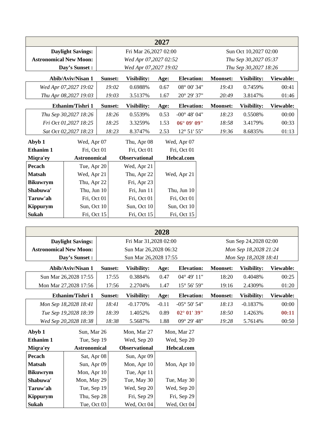|                               |                          |         |                       | 2027 |                       |                 |                       |           |
|-------------------------------|--------------------------|---------|-----------------------|------|-----------------------|-----------------|-----------------------|-----------|
|                               | <b>Daylight Savings:</b> |         | Fri Mar 26,2027 02:00 |      |                       |                 | Sun Oct 10,2027 02:00 |           |
| <b>Astronomical New Moon:</b> |                          |         | Wed Apr 07,2027 02:52 |      |                       |                 | Thu Sep 30,2027 05:37 |           |
|                               | Day's Sunset:            |         | Wed Apr 07,2027 19:02 |      |                       |                 | Thu Sep 30,2027 18:26 |           |
|                               | Abib/Aviv/Nisan 1        | Sunset: | Visibility:           | Age: | <b>Elevation:</b>     | <b>Moonset:</b> | Visibility:           | Viewable: |
|                               | Wed Apr 07,2027 19:02    | 19:02   | 0.6988%               | 0.67 | 08° 00' 34"           | 19:43           | 0.7459%               | 00:41     |
|                               | Thu Apr 08,2027 19:03    | 19:03   | 3.5137%               | 1.67 | 20° 29' 37"           | 20:49           | 3.8147%               | 01:46     |
|                               | Ethanim/Tishri 1         | Sunset: | <b>Visibility:</b>    | Age: | <b>Elevation:</b>     | <b>Moonset:</b> | Visibility:           | Viewable: |
|                               | Thu Sep 30,2027 18:26    | 18:26   | 0.5539%               | 0.53 | $-00^{\circ}$ 48' 04" | 18:23           | 0.5508%               | 00:00     |
|                               | Fri Oct 01,2027 18:25    | 18:25   | 3.3259%               | 1.53 | $06^{\circ} 09' 09''$ | 18:58           | 3.4179%               | 00:33     |
|                               | Sat Oct 02,2027 18:23    | 18:23   | 8.3747%               | 2.53 | $12^{\circ} 51' 55''$ | 19:36           | 8.6835%               | 01:13     |
| Abyb 1                        | Wed, Apr 07              |         | Thu, Apr 08           |      | Wed, Apr 07           |                 |                       |           |
| Ethanim 1                     | Fri. Oct 01              |         | Fri, Oct 01           |      | Fri. Oct 01           |                 |                       |           |
| Miqra'ey                      | <b>Astronomical</b>      |         | <b>Observational</b>  |      | Hebcal.com            |                 |                       |           |
| Pecach                        | Tue, Apr 20              |         | Wed, Apr 21           |      |                       |                 |                       |           |
| <b>Matsah</b>                 | Wed, Apr 21              |         | Thu, Apr 22           |      | Wed, Apr 21           |                 |                       |           |
| <b>Bikuwrym</b>               | Thu, Apr 22              |         | Fri, Apr 23           |      |                       |                 |                       |           |
| Shabuwa'                      | Thu, Jun 10              |         | Fri, Jun 11           |      | Thu, Jun 10           |                 |                       |           |
| Taruw'ah                      | Fri, Oct 01              |         | Fri, Oct 01           |      | Fri, Oct 01           |                 |                       |           |
| <b>Kippurym</b>               | Sun, Oct 10              |         | Sun, Oct 10           |      | Sun, Oct 10           |                 |                       |           |
| Sukah                         | Fri, Oct 15              |         | Fri, Oct 15           |      | Fri, Oct 15           |                 |                       |           |

|                               |                          |         |                       | 2028    |                        |                 |                       |                  |
|-------------------------------|--------------------------|---------|-----------------------|---------|------------------------|-----------------|-----------------------|------------------|
|                               | <b>Daylight Savings:</b> |         | Fri Mar 31,2028 02:00 |         |                        |                 | Sun Sep 24,2028 02:00 |                  |
| <b>Astronomical New Moon:</b> |                          |         | Sun Mar 26,2028 06:32 |         |                        |                 | Mon Sep 18,2028 21:24 |                  |
|                               | Day's Sunset:            |         | Sun Mar 26,2028 17:55 |         |                        |                 | Mon Sep 18,2028 18:41 |                  |
|                               | Abib/Aviv/Nisan 1        | Sunset: | <b>Visibility:</b>    | Age:    | <b>Elevation:</b>      | <b>Moonset:</b> | Visibility:           | Viewable:        |
| Sun Mar 26,2028 17:55         |                          | 17:55   | 0.3884%               | 0.47    | $04^{\circ} 49' 11''$  | 18:20           | 0.4048%               | 00:25            |
| Mon Mar 27,2028 17:56         |                          | 17:56   | 2.2704%               | 1.47    | $15^{\circ} 56' 59''$  | 19:16           | 2.4309%               | 01:20            |
|                               | Ethanim/Tishri 1         | Sunset: | Visibility:           | Age:    | <b>Elevation:</b>      | <b>Moonset:</b> | Visibility:           | <b>Viewable:</b> |
| Mon Sep 18,2028 18:41         |                          | 18:41   | $-0.1770%$            | $-0.11$ | $-05^{\circ} 50' 54''$ | 18:13           | $-0.1837%$            | 00:00            |
| Tue Sep 19,2028 18:39         |                          | 18:39   | 1.4052%               | 0.89    | $02^{\circ} 01' 39''$  | 18:50           | 1.4263%               | 00:11            |
| Wed Sep 20,2028 18:38         |                          | 18:38   | 5.5687%               | 1.88    | $09^{\circ} 29' 48''$  | 19:28           | 5.7614%               | 00:50            |
| Abyb 1                        | Sun, Mar 26              |         | Mon, Mar 27           |         | Mon, Mar 27            |                 |                       |                  |
| Ethanim 1                     | Tue, Sep 19              |         | Wed, Sep 20           |         | Wed, Sep 20            |                 |                       |                  |
| Miqra'ey                      | <b>Astronomical</b>      |         | <b>Observational</b>  |         | Hebcal.com             |                 |                       |                  |

| ениши 1         | $1ue$ , $3ep$ $19$  | wed, $\text{sep }$ $\text{20}$ | wed, $\text{sep }$ $\text{20}$ |
|-----------------|---------------------|--------------------------------|--------------------------------|
| Migra'ey        | <b>Astronomical</b> | <b>Observational</b>           | Hebcal.com                     |
| Pecach          | Sat, Apr 08         | Sun, Apr 09                    |                                |
| <b>Matsah</b>   | Sun, Apr 09         | Mon, Apr 10                    | Mon, Apr 10                    |
| <b>Bikuwrym</b> | Mon, Apr 10         | Tue, Apr 11                    |                                |
| Shabuwa'        | Mon, May 29         | Tue, May 30                    | Tue, May 30                    |
| Taruw'ah        | Tue, Sep 19         | Wed, Sep 20                    | Wed, Sep 20                    |
| Kippurym        | Thu, Sep 28         | Fri, Sep 29                    | Fri, Sep 29                    |
| Sukah           | Tue, Oct 03         | Wed, Oct 04                    | Wed, Oct 04                    |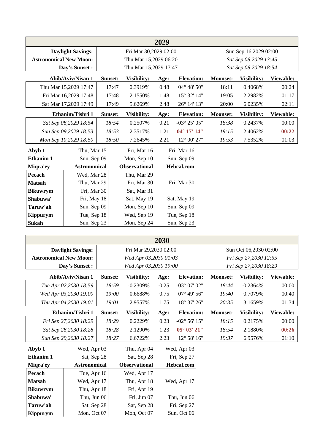|                               |                          |         |                       | 2029 |                        |                 |                       |           |
|-------------------------------|--------------------------|---------|-----------------------|------|------------------------|-----------------|-----------------------|-----------|
|                               | <b>Daylight Savings:</b> |         | Fri Mar 30,2029 02:00 |      |                        |                 | Sun Sep 16,2029 02:00 |           |
| <b>Astronomical New Moon:</b> |                          |         | Thu Mar 15,2029 06:20 |      |                        |                 | Sat Sep 08,2029 13:45 |           |
|                               | Day's Sunset:            |         | Thu Mar 15,2029 17:47 |      |                        |                 | Sat Sep 08,2029 18:54 |           |
|                               | Abib/Aviv/Nisan 1        | Sunset: | Visibility:           | Age: | <b>Elevation:</b>      | <b>Moonset:</b> | Visibility:           | Viewable: |
|                               | Thu Mar 15,2029 17:47    | 17:47   | 0.3919%               | 0.48 | $04^{\circ} 48' 50''$  | 18:11           | 0.4068%               | 00:24     |
|                               | Fri Mar 16,2029 17:48    | 17:48   | 2.1550%               | 1.48 | 15° 32' 14"            | 19:05           | 2.2982%               | 01:17     |
|                               | Sat Mar 17,2029 17:49    | 17:49   | 5.6269%               | 2.48 | 26° 14' 13"            | 20:00           | 6.0235%               | 02:11     |
|                               | Ethanim/Tishri 1         | Sunset: | Visibility:           | Age: | <b>Elevation:</b>      | <b>Moonset:</b> | Visibility:           | Viewable: |
|                               | Sat Sep 08,2029 18:54    | 18:54   | 0.2507%               | 0.21 | $-03^{\circ} 25' 05''$ | 18:38           | 0.2437%               | 00:00     |
|                               | Sun Sep 09,2029 18:53    | 18:53   | 2.3517%               | 1.21 | 04° 17' 14"            | 19:15           | 2.4062%               | 00:22     |
|                               | Mon Sep 10,2029 18:50    | 18:50   | 7.2645%               | 2.21 | $12^{\circ}$ 00' 27"   | 19:53           | 7.5352%               | 01:03     |
| Abyb 1                        | Thu, Mar 15              |         | Fri, Mar 16           |      | Fri, Mar 16            |                 |                       |           |
| Ethanim 1                     | Sun, Sep 09              |         | Mon, Sep 10           |      | Sun, Sep 09            |                 |                       |           |
| Miqra'ey                      | <b>Astronomical</b>      |         | <b>Observational</b>  |      | Hebcal.com             |                 |                       |           |
| Pecach                        | Wed, Mar 28              |         | Thu, Mar 29           |      |                        |                 |                       |           |
| <b>Matsah</b>                 | Thu, Mar 29              |         | Fri, Mar 30           |      | Fri, Mar 30            |                 |                       |           |
| <b>Bikuwrym</b>               | Fri, Mar 30              |         | Sat, Mar 31           |      |                        |                 |                       |           |
| Shabuwa'                      | Fri, May 18              |         | Sat, May 19           |      | Sat, May 19            |                 |                       |           |
| Taruw'ah                      | Sun, Sep 09              |         | Mon, Sep 10           |      | Sun, Sep 09            |                 |                       |           |
| <b>Kippurym</b>               | Tue, Sep 18              |         | Wed, Sep 19           |      | Tue, Sep 18            |                 |                       |           |
| Sukah                         | Sun, Sep 23              |         | Mon, Sep 24           |      | Sun, Sep 23            |                 |                       |           |

|                               |                          |         |                       | 2030    |                        |                 |                       |           |
|-------------------------------|--------------------------|---------|-----------------------|---------|------------------------|-----------------|-----------------------|-----------|
|                               | <b>Daylight Savings:</b> |         | Fri Mar 29,2030 02:00 |         |                        |                 | Sun Oct 06,2030 02:00 |           |
| <b>Astronomical New Moon:</b> |                          |         | Wed Apr 03,2030 01:03 |         |                        |                 | Fri Sep 27,2030 12:55 |           |
|                               | Day's Sunset :           |         | Wed Apr 03,2030 19:00 |         |                        |                 | Fri Sep 27,2030 18:29 |           |
|                               | Abib/Aviv/Nisan 1        | Sunset: | Visibility:           | Age:    | <b>Elevation:</b>      | <b>Moonset:</b> | Visibility:           | Viewable: |
|                               | Tue Apr 02,2030 18:59    | 18:59   | $-0.2309%$            | $-0.25$ | $-03^{\circ}$ 07' 02"  | 18:44           | $-0.2364%$            | 00:00     |
|                               | Wed Apr 03,2030 19:00    | 19:00   | 0.6688%               | 0.75    | $07^{\circ}$ 49' 56"   | 19:40           | 0.7079%               | 00:40     |
|                               | Thu Apr 04,2030 19:01    | 19:01   | 2.9557%               | 1.75    | 18° 37' 26"            | 20:35           | 3.1659%               | 01:34     |
|                               | Ethanim/Tishri 1         | Sunset: | Visibility:           | Age:    | <b>Elevation:</b>      | <b>Moonset:</b> | Visibility:           | Viewable: |
|                               | Fri Sep 27,2030 18:29    | 18:29   | 0.2229%               | 0.23    | $-02^{\circ} 56' 15''$ | 18:15           | 0.2175%               | 00:00     |
|                               | Sat Sep 28,2030 18:28    | 18:28   | 2.1290%               | 1.23    | $05^{\circ} 03' 21''$  | 18:54           | 2.1880%               | 00:26     |
|                               | Sun Sep 29,2030 18:27    | 18:27   | 6.6722%               | 2.23    | 12° 58' 16"            | 19:37           | 6.9576%               | 01:10     |
| Abyb 1                        | Wed, Apr 03              |         | Thu, Apr 04           |         | Wed, Apr 03            |                 |                       |           |
| Ethanim 1                     | Sat, Sep 28              |         | Sat, Sep 28           |         | Fri, Sep 27            |                 |                       |           |
| Miqra'ey                      | <b>Astronomical</b>      |         | <b>Observational</b>  |         | <b>Hebcal.com</b>      |                 |                       |           |
| Pecach                        | Tue, Apr 16              |         | Wed, Apr 17           |         |                        |                 |                       |           |
| <b>Matsah</b>                 | Wed, Apr 17              |         | Thu, Apr 18           |         | Wed, Apr 17            |                 |                       |           |
| <b>Bikuwrym</b>               | Thu, Apr 18              |         | Fri, Apr 19           |         |                        |                 |                       |           |
| Shabuwa'                      | Thu, Jun 06              |         | Fri, Jun 07           |         | Thu, Jun 06            |                 |                       |           |
| Taruw'ah                      | Sat, Sep 28              |         | Sat, Sep 28           |         | Fri, Sep 27            |                 |                       |           |
| Kippurym                      | Mon, Oct 07              |         | Mon, Oct 07           |         | Sun, Oct 06            |                 |                       |           |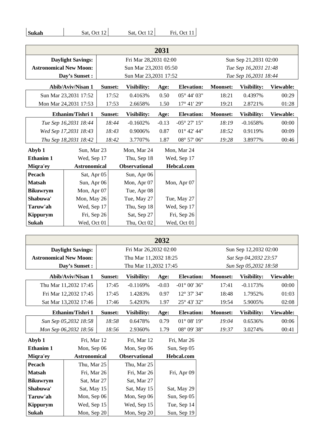| Sukah | Sat. Oct 12 | Sat. Oct 12 | Fri. Oct 11 |
|-------|-------------|-------------|-------------|

| 2031                          |                     |                       |                            |             |                               |                       |                       |           |  |
|-------------------------------|---------------------|-----------------------|----------------------------|-------------|-------------------------------|-----------------------|-----------------------|-----------|--|
| <b>Daylight Savings:</b>      |                     |                       | Fri Mar 28,2031 02:00      |             |                               | Sun Sep 21,2031 02:00 |                       |           |  |
| <b>Astronomical New Moon:</b> |                     |                       | Sun Mar 23,2031 05:50      |             |                               |                       | Tue Sep 16,2031 21:48 |           |  |
| Day's Sunset :                |                     | Sun Mar 23,2031 17:52 |                            |             |                               | Tue Sep 16,2031 18:44 |                       |           |  |
| <b>Abib/Aviv/Nisan 1</b>      |                     | Sunset:               | Visibility:                | Age:        | <b>Elevation:</b>             | <b>Moonset:</b>       | Visibility:           | Viewable: |  |
| Sun Mar 23,2031 17:52         |                     | 17:52                 | 0.4163%                    | 0.50        | $05^{\circ}$ 44' $03^{\circ}$ | 18:21                 | 0.4397%               | 00:29     |  |
| Mon Mar 24,2031 17:53         |                     | 17:53                 | 2.6658%                    | 1.50        | 17° 41' 29"                   | 19:21                 | 2.8721%               | 01:28     |  |
| Ethanim/Tishri 1              |                     | Sunset:               | Visibility:                | Age:        | <b>Elevation:</b>             | <b>Moonset:</b>       | Visibility:           | Viewable: |  |
| Tue Sep 16,2031 18:44         |                     | 18:44                 | $-0.1602%$                 | $-0.13$     | $-05^{\circ} 27' 15''$        | 18:19                 | $-0.1658%$            | 00:00     |  |
| Wed Sep 17,2031 18:43         |                     | 18:43                 | 0.9006%                    | 0.87        | $01^{\circ}$ 42' 44"          | 18:52                 | 0.9119%               | 00:09     |  |
| Thu Sep 18,2031 18:42         |                     | 18:42                 | 3.7707%                    | 1.87        | 08° 57' 06"                   | 19:28                 | 3.8977%               | 00:46     |  |
| Abyb 1<br>Sun, Mar 23         |                     |                       | Mon, Mar 24                |             | Mon, Mar 24                   |                       |                       |           |  |
| Wed, Sep 17<br>Ethanim 1      |                     |                       | Thu, Sep 18<br>Wed, Sep 17 |             |                               |                       |                       |           |  |
| Miqra'ey                      | <b>Astronomical</b> |                       | <b>Observational</b>       | Hebcal.com  |                               |                       |                       |           |  |
| Pecach                        | Sat, Apr 05         |                       | Sun, Apr 06                |             |                               |                       |                       |           |  |
| <b>Matsah</b>                 | Sun, Apr 06         |                       | Mon, Apr 07                | Mon, Apr 07 |                               |                       |                       |           |  |
| <b>Bikuwrym</b>               | Mon, Apr 07         |                       | Tue, Apr 08                |             |                               |                       |                       |           |  |
| Shabuwa'                      | Mon, May 26         |                       | Tue, May 27                | Tue, May 27 |                               |                       |                       |           |  |
| Taruw'ah                      | Wed, Sep 17         |                       | Thu, Sep 18                | Wed, Sep 17 |                               |                       |                       |           |  |
| <b>Kippurym</b>               | Fri, Sep 26         |                       | Sat, Sep 27                | Fri, Sep 26 |                               |                       |                       |           |  |
| Sukah                         | Wed, Oct 01         |                       | Thu, Oct 02                |             | Wed, Oct 01                   |                       |                       |           |  |

| 2032                          |                       |                       |                       |             |                        |                       |             |           |
|-------------------------------|-----------------------|-----------------------|-----------------------|-------------|------------------------|-----------------------|-------------|-----------|
| <b>Daylight Savings:</b>      |                       |                       | Fri Mar 26,2032 02:00 |             |                        | Sun Sep 12,2032 02:00 |             |           |
| <b>Astronomical New Moon:</b> |                       | Thu Mar 11,2032 18:25 |                       |             |                        | Sat Sep 04,2032 23:57 |             |           |
| Day's Sunset:                 |                       | Thu Mar 11,2032 17:45 |                       |             |                        | Sun Sep 05,2032 18:58 |             |           |
| <b>Abib/Aviv/Nisan 1</b>      |                       | Sunset:               | Visibility:           | Age:        | <b>Elevation:</b>      | <b>Moonset:</b>       | Visibility: | Viewable: |
|                               | Thu Mar 11,2032 17:45 |                       | $-0.1169%$            | $-0.03$     | $-01^{\circ} 00' 36''$ | 17:41                 | $-0.1173%$  | 00:00     |
|                               | Fri Mar 12,2032 17:45 | 17:45                 | 1.4283%               | 0.97        | 12° 37' 34"            | 18:48                 | 1.7952%     | 01:03     |
|                               | Sat Mar 13,2032 17:46 | 17:46                 | 5.4293%               | 1.97        | 25° 43' 32"            | 19:54                 | 5.9005%     | 02:08     |
| Ethanim/Tishri 1              |                       | Sunset:               | Visibility:           | Age:        | <b>Elevation:</b>      | <b>Moonset:</b>       | Visibility: | Viewable: |
| Sun Sep 05,2032 18:58         |                       | 18:58                 | 0.6478%               | 0.79        | $01^{\circ} 08' 19''$  | 19:04                 | 0.6536%     | 00:06     |
| Mon Sep 06,2032 18:56         |                       | 18:56                 | 2.9360%               | 1.79        | 08° 09' 38"            | 19:37                 | 3.0274%     | 00:41     |
| Fri, Mar 12<br>Abyb 1         |                       |                       | Fri, Mar 12           |             | Fri. Mar 26            |                       |             |           |
| Ethanim 1                     | Mon, Sep 06           |                       | Mon, Sep 06           | Sun, Sep 05 |                        |                       |             |           |
| Miqra'ey                      | <b>Astronomical</b>   |                       | <b>Observational</b>  | Hebcal.com  |                        |                       |             |           |
| Pecach                        | Thu, Mar 25           |                       | Thu, Mar 25           |             |                        |                       |             |           |
| <b>Matsah</b>                 | Fri, Mar 26           |                       | Fri, Mar 26           |             | Fri, Apr 09            |                       |             |           |
| <b>Bikuwrym</b>               | Sat, Mar 27           |                       | Sat, Mar 27           |             |                        |                       |             |           |
| Shabuwa'                      | Sat, May 15           |                       | Sat, May 15           |             | Sat, May 29            |                       |             |           |
| Taruw'ah                      | Mon, Sep 06           |                       | Mon, Sep 06           |             | Sun, Sep 05            |                       |             |           |
| Kippurym                      | Wed, Sep 15           |                       | Wed, Sep 15           |             | Tue, Sep 14            |                       |             |           |
| Sukah                         | Mon, Sep 20           |                       | Mon, Sep 20           |             | Sun, Sep 19            |                       |             |           |